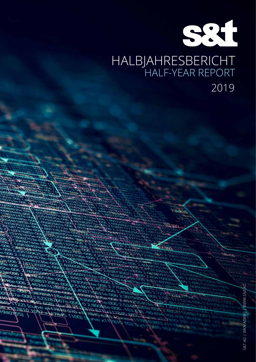# 931 HALBJAHRESBERICHT HALF-YEAR REPORT 2019

San

ant.

76 っ

 $22$ ) (curve

5.00

פנ

**White** 

VR.

 $570 - 64$ 

 $1001$ 

 $4473810$ 

لمعتد

900 ЮE

1940165101092

19401551

УO ile<br>Bas .7 Ac

S&T AG | WKN A0X9EJ | WWW.SNT.AT S&T AG | WKN A0X9EJ | WWW.SNT.AT

bru.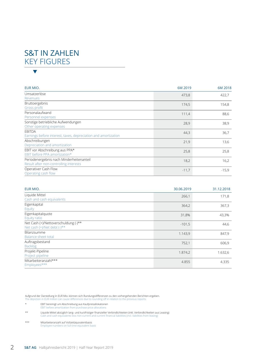### S&T IN ZAHLEN KEY FIGURES  $\blacktriangledown$

| EUR MIO.                                                                           | 6M 2019 | 6M 2018 |
|------------------------------------------------------------------------------------|---------|---------|
| Umsatzerlöse<br>Revenues                                                           | 473,8   | 422,7   |
| Bruttoergebnis<br>Gross profit                                                     | 174,5   | 154,8   |
| Personalaufwand<br>Personnel expenses                                              | 111,4   | 88,6    |
| Sonstige betriebliche Aufwendungen<br>Other operating expenses                     | 28,9    | 38,9    |
| <b>FBITDA</b><br>Earnings before interest, taxes, depreciation and amortization    | 44,3    | 36,7    |
| Abschreibungen<br>Depreciation and amortization                                    | 21,9    | 13,6    |
| EBIT vor Abschreibung aus PPA*<br>EBIT before PPA amortization*                    | 25,8    | 25,8    |
| Periodenergebnis nach Minderheitenanteil<br>Result after non-controlling interests | 18,2    | 16,2    |
| Operativer Cash Flow<br>Operating cash flow                                        | $-11,7$ | $-15,9$ |

| EUR MIO.                                                            | 30.06.2019 | 31.12.2018 |
|---------------------------------------------------------------------|------------|------------|
| Liquide Mittel<br>Cash and cash equivalents                         | 266,1      | 171,8      |
| Eigenkapital<br>Equity                                              | 364,2      | 367,3      |
| Eigenkapitalquote<br>Equity ratio                                   | 31,8%      | 43,3%      |
| Net Cash (+)/Nettoverschuldung (-)**<br>Net cash (+)/Net debt (-)** | $-101,5$   | 44,6       |
| Bilanzsumme<br><b>Balance sheet total</b>                           | 1.143,9    | 847,9      |
| Auftragsbestand<br><b>Backlog</b>                                   | 752,1      | 606,9      |
| Projekt-Pipeline<br>Project pipeline                                | 1.874,2    | 1.632,6    |
| Mitarbeiteranzahl***<br>Employees***                                | 4.855      | 4.335      |

Aufgrund der Darstellung in EUR Mio. können sich Rundungsdifferenzen zu den vorhergehenden Berichten ergeben. The depiction in EUR million can cause differences due to rounding off in relation to the previous reports.

\* EBIT bereinigt um Abschreibung aus Kaufpreisallokationen EBIT before amortization from purchase price allocations

\*\* Liquide Mittel abzüglich lang- und kurzfristiger finanzieller Verbindlichkeiten (inkl. Verbindlichkeiten aus Leasing) Cash and cash equivalents less non-current and current financial liabilities (incl. liabilities from leasing)

\*\*\* Mitarbeiteranzahl auf Vollzeitäquivalentbasis Employee numbers on full time equivalent basis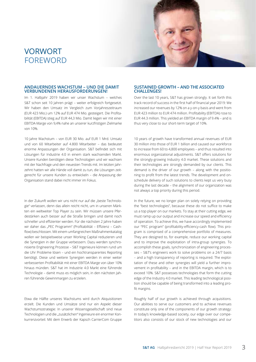### VORWORT FOREWORD

#### **ANDAUERNDES WACHSTUM – UND DIE DAMIT VERBUNDENEN HERAUSFORDERUNGEN!**

Im 1. Halbjahr 2019 haben wir unser Wachstum – welches S&T schon seit 10 Jahren prägt – weiter erfolgreich fortgesetzt. Wir haben den Umsatz im Vergleich zum Vorjahreszeitraum (EUR 423 Mio.) um 12% auf EUR 474 Mio. gesteigert. Die Profitabilität (EBITDA) stieg auf EUR 44,3 Mio. Damit liegen wir mit einer EBITDA-Marge von 9,4% nahe an unserer kurzfristigen Zielmarke von 10%.

10 Jahre Wachstum – von EUR 30 Mio. auf EUR 1 Mrd. Umsatz und von 60 Mitarbeiter auf 4.800 Mitarbeiter – das bedeutet enorme Anpassungen der Organisation. S&T befindet sich mit Lösungen für Industrie 4.0 in einem stark wachsenden Markt. Unsere Kunden benötigen diese Technologien und wir wachsen mit der Nachfrage und den neuesten Trends mit. Im letzten Jahrzehnt hatten wir alle Hände voll damit zu tun, die Lösungen zeitgerecht für unsere Kunden zu entwickeln – die Anpassung der Organisation stand dabei nicht immer im Fokus.

In der Zukunft wollen wir uns nicht nur auf die "beste Technologie" verlassen, denn das allein reicht nicht, um in unseren Märkten ein weltweiter Top Player zu sein. Wir müssen unsere Pferdestärken auch besser auf die Straße bringen und damit noch schneller und effizienter werden. Für die nächsten 2 Jahre haben wir daher das "PEC Programm" (Profitabilität – Effizienz – Cashflow) beschlossen. Mit einem umfangreichen Maßnahmenkatalog wollen wir beispielsweise unser Working Capital reduzieren und die Synergien in der Gruppe verbessern. Dazu werden synchronisierte Engineering Prozesse – S&T Ingenieure können rund um die Uhr Probleme lösen – und ein hochtransparentes Reporting benötigt. Diese und weitere Synergien werden in einer weiter verbesserten Profitabilität mit einer EBITDA Marge von über 10% hinaus münden. S&T hat im Industrie 4.0 Markt eine führende Technologie – damit muss es möglich sein, in den nächsten Jahren führende Gewinnmargen zu erzielen.

Etwa die Hälfte unseres Wachstums wird durch Akquisitionen erzielt. Die Kunden und Umsätze sind nur ein Aspekt dieser Wachstumsstrategie: In unserer Wissensgesellschaft sind neue Technologien und die "zusätzlichen" Ingenieure ein enormer Konkurrenzvorteil. Mit dem Erwerb der Kapsch CarrierCom Gruppe

#### **SUSTAINED GROWTH – AND THE ASSOCIATED CHALLENGES!**

Over the last 10 years, S&T has grown strongly. It set forth this track record of success in the first half of financial year 2019: We increased our revenues by 12% on a y-on-y basis and went from EUR 423 million to EUR 474 million. Profitability (EBITDA) rose to EUR 44.3 million. This yielded an EBITDA margin of 9.4% – and is thus very close to our short-term target of 10%.

10 years of growth have transformed annual revenues of EUR 30 million into those of EUR 1 billion and caused our workforce to increase from 60 to 4,800 employees – and thus resulted into enormous organizational adjustments. S&T offers solutions for the strongly-growing Industry 4.0 market. These solutions and their technologies are strongly demanded by our clients. This demand is the driver of our growth – along with the positioning to profit from the latest trends. The development and onschedule delivery of such solutions to clients kept us very busy during the last decade – the alignment of our organization was not always a top priority during this period.

In the future, we no longer plan on solely relying on providing the "best technologies", because these do not suffice to make us a top player on our markets. To stay at their cutting edge, we must ramp up our output and increase our speed and efficiency of operation. To achieve this, we have accordingly implemented our "PEC program" (profitability-efficiency-cash flow). This program is comprised of a comprehensive portfolio of measures. They are designed to, for example, reduce our working capital and to improve the exploitation of intra-group synergies. To accomplish these goals, synchronization of engineering processes – S&T's engineers work to solve problems on a 24/7 basis – and a high transparency of reporting is required. The exploitation of these and other synergies will yield a further improvement in profitability – and in the EBITDA margin, which is to exceed 10%. S&T possesses technologies that form the cutting edge of the Industry 4.0 market. This leading technological position should be capable of being transformed into a leading profit margins.

Roughly half of our growth is achieved through acquisitions. Our abilities to serve our customers and to achieve revenues constitute only one of the components of our growth strategy: In today's knowledge-based society, our edge over our competitors also consists of our stock of new technologies and our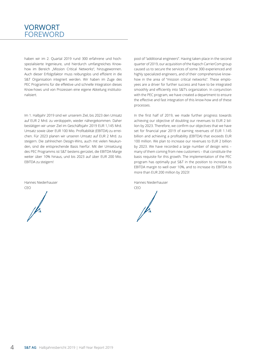

haben wir im 2. Quartal 2019 rund 300 erfahrene und hochspezialisierte Ingenieure, und hierdurch umfangreiches Knowhow im Bereich "Mission Critical Networks", hinzugewonnen. Auch dieser Erfolgsfaktor muss reibungslos und effizient in die S&T Organisation integriert werden. Wir haben im Zuge des PEC Programms für die effektive und schnelle Integration dieses Know-hows und von Prozessen eine eigene Abteilung institutionalisiert.

Im 1. Halbjahr 2019 sind wir unserem Ziel, bis 2023 den Umsatz auf EUR 2 Mrd. zu verdoppeln, wieder nähergekommen. Daher bestätigen wir unser Ziel im Geschäftsjahr 2019 EUR 1,145 Mrd. Umsatz sowie über EUR 100 Mio. Profitabilität (EBITDA) zu erreichen. Für 2023 planen wir unseren Umsatz auf EUR 2 Mrd. zu steigern. Die zahlreichen Design-Wins, auch mit vielen Neukunden, sind die entsprechende Basis hierfür. Mit der Umsetzung des PEC Programms ist S&T bestens gerüstet, die EBITDA-Marge weiter über 10% hinaus, und bis 2023 auf über EUR 200 Mio. EBITDA zu steigern!

| Hannes Niederhauser |
|---------------------|
| CEO                 |
|                     |
|                     |

pool of "additional engineers". Having taken place in the second quarter of 2019, our acquisition of the Kapsch CarrierCom group caused us to secure the services of some 300 experienced and highly specialized engineers, and of their comprehensive knowhow in the area of "mission critical networks". These employees are a driver for further success and have to be integrated smoothly and efficiently into S&T's organization. In conjunction with the PEC program, we have created a department to ensure the effective and fast integration of this know-how and of these processes.

In the first half of 2019, we made further progress towards achieving our objective of doubling our revenues to EUR 2 billion by 2023. Therefore, we confirm our objectives that we have set for financial year 2019 of earning revenues of EUR 1.145 billion and achieving a profitability (EBITDA) that exceeds EUR 100 million. We plan to increase our revenues to EUR 2 billion by 2023. We have recorded a large number of design wins – many of them coming from new customers – that constitute the basis requisite for this growth. The implementation of the PEC program has optimally put S&T in the position to increase its EBITDA margin to well over 10%, and to increase its EBITDA to more than EUR 200 million by 2023!

Hannes Niederhauser

CEO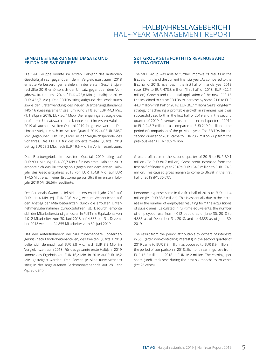#### **ERNEUTE STEIGERUNG BEI UMSATZ UND EBITDA DER S&T GRUPPE**

Die S&T Gruppe konnte im ersten Halbjahr des laufenden Geschäftsjahres gegenüber dem Vergleichszeitraum 2018 erneute Verbesserungen erzielen: In der ersten Geschäftsjahreshälfte 2019 erhöhte sich der Umsatz gegenüber dem Vorjahreszeitraum um 12% auf EUR 473,8 Mio. (1. Halbjahr 2018: EUR 422,7 Mio.). Das EBITDA stieg aufgrund des Wachstums sowie der Erstanwendung des neuen Bilanzierungsstandards IFRS 16 (Leasingverhältnisse) um rund 21% auf EUR 44,3 Mio. (1. Halbjahr 2018: EUR 36,7 Mio.). Die langjährige Strategie des profitablen Umsatzwachstums konnte somit im ersten Halbjahr 2019 als auch im zweiten Quartal 2019 fortgesetzt werden. Der Umsatz steigerte sich im zweiten Quartal 2019 auf EUR 248,7 Mio. gegenüber EUR 219,0 Mio. in der Vergleichsperiode des Vorjahres. Das EBITDA für das isolierte zweite Quartal 2019 betrug EUR 23,2 Mio. nach EUR 19,6 Mio. im Vorjahreszeitraum.

Das Bruttoergebnis im zweiten Quartal 2019 stieg auf EUR 89,1 Mio. (Vj.: EUR 80,7 Mio.), für das erste Halbjahr 2019 erhöhte sich das Bruttoergebnis gegenüber dem ersten Halbjahr des Geschäftsjahres 2018 von EUR 154,8 Mio. auf EUR 174,5 Mio., was in einer Bruttomarge von 36,8% im ersten Halbjahr 2019 (Vj.: 36,6%) resultierte.

Der Personalaufwand belief sich im ersten Halbjahr 2019 auf EUR 111,4 Mio. (Vj.: EUR 88,6 Mio.), was im Wesentlichen auf den Anstieg der Mitarbeiteranzahl durch die erfolgten Unternehmensübernahmen zurückzuführen ist. Dadurch erhöhte sich der Mitarbeiterstand gemessen in Full Time Equivalents von 4.012 Mitarbeiter zum 30. Juni 2018 auf 4.335 per 31. Dezember 2018 weiter auf 4.855 Mitarbeiter zum 30. Juni 2019.

Das den Anteilsinhabern der S&T zurechenbare Konzernergebnis (nach Minderheitenanteilen) des zweiten Quartals 2019 belief sich demnach auf EUR 8,8 Mio. nach EUR 8,9 Mio. im Vergleichszeitraum 2018. Für das gesamte erste Halbjahr 2019 konnte das Ergebnis von EUR 16,2 Mio. in 2018 auf EUR 18,2 Mio. gesteigert werden. Der Gewinn je Aktie (unverwässert) stieg in der abgelaufenen Sechsmonatsperiode auf 28 Cent (Vj.: 26 Cent).

#### **S&T GROUP SETS FORTH ITS REVENUES AND EBITDA GROWTH**

The S&T Group was able to further improve its results in the first six months of the current financial year. As compared to the first half of 2018, revenues in the first half of financial year 2019 rose 12% to EUR 473.8 million (first half of 2018: EUR 422.7 million). Growth and the initial application of the new IFRS 16 Leases joined to cause EBITDA to increase by some 21% to EUR 44.3 million (first half of 2018: EUR 36.7 million). S&T's long-term strategy of achieving a profitable growth in revenues was thus successfully set forth in the first half of 2019 and in the second quarter of 2019. Revenues rose in the second quarter of 2019 to EUR 248.7 million – as compared to EUR 219.0 million in the period of comparison of the previous year. The EBITDA for the second quarter of 2019 came to EUR 23.2 million – up from the previous year's EUR 19.6 million.

Gross profit rose in the second quarter of 2019 to EUR 89.1 million (PY: EUR 80.7 million). Gross profit increased from the first half of financial year 2018's EUR 154.8 million to EUR 174.5 million. This caused gross margin to come to 36.8% in the first half of 2019 (PY: 36.6%).

Personnel expense came in the first half of 2019 to EUR 111.4 million (PY: EUR 88.6 million). This is essentially due to the increase in the number of employees resulting form the acquisitions of subsidiaries. Calculated in full-time equivalents, the number of employees rose from 4,012 people as of June 30, 2018 to 4,335 as of December 31, 2018, and to 4,855 as of June 30, 2019.

The result from the period attributable to owners of interests in S&T (after non-controlling interests) in the second quarter of 2019 came to EUR 8.8 million, as opposed to EUR 8.9 million in the period of comparison in 2018. Six month earnings rose from EUR 16.2 million in 2018 to EUR 18.2 million. The earnings per share (undiluted) rose during the past six months to 28 cents (PY: 26 cents).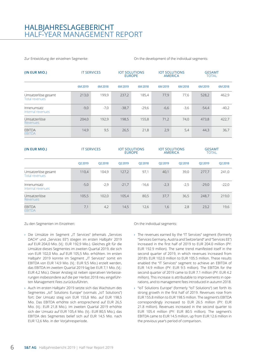### HALBJAHRESLAGEBERICHT HALF-YEAR MANAGEMENT REPORT

Zur Entwicklung der einzelnen Segmente:

On the development of the individual segments:

| (IN EUR MIO.)                                | <b>IT SERVICES</b> |         | <b>EUROPE</b> | <b>IOT SOLUTIONS</b> |         | <b>IOT SOLUTIONS</b><br><b>AMERICA</b> |         | <b>GESAMT</b><br><b>TOTAL</b> |
|----------------------------------------------|--------------------|---------|---------------|----------------------|---------|----------------------------------------|---------|-------------------------------|
|                                              | 6M 2019            | 6M 2018 | 6M 2019       | 6M 2018              | 6M 2019 | 6M 2018                                | 6M 2019 | 6M 2018                       |
| Umsatzerlöse gesamt<br><b>Total revenues</b> | 213,0              | 199,9   | 237,2         | 185,4                | 77,9    | 77,6                                   | 528,2   | 462,9                         |
| Innenumsatz<br>Internal revenues             | $-9,0$             | $-7,0$  | $-38,7$       | $-29,6$              | $-6,6$  | $-3,6$                                 | $-54,4$ | $-40,2$                       |
| Umsatzerlöse<br>Revenues                     | 204.0              | 192,9   | 198,5         | 155,8                | 71,2    | 74,0                                   | 473,8   | 422,7                         |
| <b>EBITDA</b><br><b>EBITDA</b>               | 14,9               | 9,5     | 26,5          | 21,8                 | 2,9     | 5,4                                    | 44,3    | 36,7                          |

| (IN EUR MIO.)                                | <b>IT SERVICES</b> |         | <b>EUROPE</b> | <b>IOT SOLUTIONS</b> |         | <b>IOT SOLUTIONS</b><br><b>AMERICA</b> |         | <b>GESAMT</b><br><b>TOTAL</b> |
|----------------------------------------------|--------------------|---------|---------------|----------------------|---------|----------------------------------------|---------|-------------------------------|
|                                              | Q2 2019            | Q2 2018 | Q2 2019       | Q2 2018              | Q2 2019 | Q2 2018                                | Q2 2019 | Q2 2018                       |
| Umsatzerlöse gesamt<br><b>Total revenues</b> | 110,4              | 104.9   | 127,2         | 97,1                 | 40,1    | 39,0                                   | 277,7   | 241,0                         |
| Innenumsatz<br>Internal revenues             | $-5,0$             | $-2,9$  | $-21,7$       | $-16,6$              | $-2,3$  | $-2,5$                                 | $-29,0$ | $-22,0$                       |
| Umsatzerlöse<br>Revenues                     | 105,5              | 102,0   | 105,4         | 80,5                 | 37,7    | 36,5                                   | 248,7   | 219,0                         |
| <b>EBITDA</b><br><b>EBITDA</b>               | 7,1                | 4,2     | 14,5          | 12,6                 | 1,6     | 2,8                                    | 23,2    | 19,6                          |

Zu den Segmenten im Einzelnen:

- › Die Umsätze im Segment "IT Services" (ehemals "Services DACH" und "Services EE") stiegen im ersten Halbjahr 2019 auf EUR 204,0 Mio. (Vj.: EUR 192,9 Mio.). Gleiches gilt für die Umsätze dieses Segmentes im zweiten Quartal 2019, die sich von EUR 102,0 Mio. auf EUR 105,5 Mio. erhöhten. Im ersten Halbjahr 2019 konnte im Segment "IT Services" somit ein EBITDA von EUR 14,9 Mio. (Vj.: EUR 9,5 Mio.) erzielt werden, das EBITDA im zweiten Quartal 2019 lag bei EUR 7,1 Mio. (Vj.: EUR 4,2 Mio.). Dieser Anstieg ist neben operativen Verbesserungen insbesondere auf die per Herbst 2018 neu eingeführten Management Fees zurückzuführen.
- › Auch im ersten Halbjahr 2019 setzte sich das Wachstum des Segmentes "IoT Solutions Europe" (vormals "IoT Solutions") fort: Der Umsatz stieg von EUR 155,8 Mio. auf EUR 198,5 Mio. Das EBITDA erhöhte sich entsprechend auf EUR 26,5 Mio. (Vj.: EUR 21,8 Mio.). Im zweiten Quartal 2019 erhöhte sich der Umsatz auf EUR 105,4 Mio. (Vj.: EUR 80,5 Mio.), das EBITDA des Segmentes belief sich auf EUR 14,5 Mio. nach EUR 12,6 Mio. in der Vorjahresperiode.

On the individual segments:

- › The revenues earned by the "IT Services" segment (formerly "Services Germany, Austria and Switzerland" and "Services EE") increased in the first half of 2019 to EUR 204.0 million (PY: EUR 192.9 million). The same trend manifested itself in the second quarter of 2019, in which revenues increased from 2018's EUR 102.0 million to EUR 105.5 million. These results enabled the "IT Services" segment to achieve an EBITDA of EUR 14.9 million (PY: EUR 9.5 million). The EBITDA for the second quarter of 2019 came to EUR 7.1 million (PY: EUR 4.2 million). This increase is attributable to improvements in operations, and to management fees introduced in autumn 2018.
- › "IoT Solutions Europe" (formerly "IoT Solutions") set forth its strong growth in the first half of 2019. Revenues rose from EUR 155.8 million to EUR 198.5 million. The segment's EBITDA correspondingly increased to EUR 26.5 million (PY: EUR 21.8 million). Revenues increased in the second quarter to EUR 105.4 million (PY: EUR 80.5 million). The segment's EBITDA came to EUR 14.5 million, up from EUR 12.6 million in the previous year's period of comparison.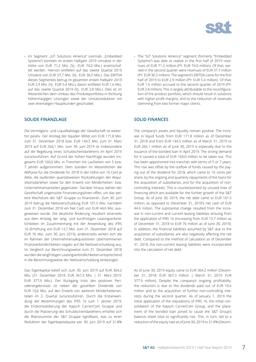

> Im Segment "IoT Solutions America" (vormals "Embedded Systems") konnten im ersten Halbjahr 2019 Umsätze in der Höhe von EUR 71,2 Mio. (Vj.: EUR 74,0 Mio.) erwirtschaftet werden. Hiervon entfielen auf das zweite Quartal 2019 Umsätze von EUR 37,7 Mio. (Vj.: EUR 36,5 Mio.). Das EBITDA dieses Segmentes betrug im gesamten ersten Halbjahr 2019 EUR 2,9 Mio. (Vj.: EUR 5,4 Mio.), davon entfielen EUR 1,6 Mio. auf das zweite Quartal 2019 (Vj.: EUR 2,8 Mio.). Dies ist im Wesentlichen dem Umbau des Produktportfolios in Richtung höhermargigen Lösungen sowie der Umsatzreduktion mit zwei ehemaligen Hauptkunden geschuldet.

#### **SOLIDE FINANZLAGE**

Die Vermögens- und Liquiditätslage der Gesellschaft ist weiterhin positiv. Der Anstieg der liquiden Mittel von EUR 171,8 Mio. zum 31. Dezember 2018 bzw. EUR 144,5 Mio. zum 31. März 2019 auf EUR 266,1 Mio. zum 30. Juni 2019 ist insbesondere auf die Begebung eines Schuldscheindarlehens im April 2019 zurückzuführen. Auf Grund der hohen Nachfrage wurden insgesamt EUR 160,0 Mio. in Tranchen mit Laufzeiten von 5 bzw. 7 Jahren aufgenommen. Dem standen im Wesentlichen die Abflüsse für die Dividende für 2018 in der Höhe von 16 Cent je Aktie, die laufenden quartalsweisen Rückzahlungen der Akquisitionsdarlehen sowie für den Erwerb von Minderheiten- bzw. Unternehmensanteilen gegenüber. Darüber hinaus stehen der Gesellschaft ungenutzte Finanzierungslinien offen, um das weitere Wachstum der S&T Gruppe zu finanzieren. Zum 30. Juni 2019 betrug die Nettoverschuldung EUR 101,5 Mio. nachdem zum 31. Dezember 2018 ein Net Cash von EUR 44,6 Mio. ausgewiesen wurde. Die deutliche Änderung resultiert einerseits aus dem Anstieg der lang- und kurzfristigen Leasingverbindlichkeiten im Zusammenhang mit der Anwendung des IFRS 16 (Erhöhung von EUR 13,7 Mio. zum 31. Dezember 2018 auf EUR 76 Mio. zum 30. Juni 2019), andererseits wirken sich die im Rahmen der Unternehmensakquisitionen übernommenen Finanzverbindlichkeiten negativ auf die Nettoverschuldung aus. Im Vergleich zur Berechnungsweise zum 31. Dezember 2018 wurden die langfristigen Leasingverbindlichkeiten entsprechend in die Berechnungsweise der Nettoverschuldung einbezogen.

Das Eigenkapital belief sich zum 30. Juni 2019 auf EUR 364,2 Mio. (31. Dezember 2018: EUR 367,3 Mio. | 31. März 2019: EUR 377,9 Mio.). Der Rückgang trotz des positiven Periodenergebnisses ist neben der gezahlten Dividende von EUR 10,6 Mio. auf den Erwerb von weiteren Minderheitenanteilen im 2. Quartal zurückzuführen. Durch die Erstanwendung der Bestimmungen des IFRS 16 zum 1. Jänner 2019, die Erstkonsolidierung der Kapsch CarrierCom Gruppe und durch die Platzierung des Schuldscheindarlehens erhöhte sich die Bilanzsumme der S&T Gruppe signifikant, was zu einer Reduktion der Eigenkapitalquote per 30. Juni 2019 auf 31,8%

› The "IoT Solutions America" segment (formerly "Embedded Systems") was able to realize in the first half of 2019 revenues of EUR 71.2 million (PY: EUR 74.0 million). Of that, earned in the second quarter were revenues of EUR 37.7 million (PY: EUR 36.5 million). The segment's EBITDA came for the first half of 2019 to EUR 2.9 million (PY: EUR 5.4 million). Of that, EUR 1.6 million accrued to the second quarter of 2019 (PY: EUR 2.8 million). This is largely attributable to the reconfiguration of the product portfolio, which should result in solutions with higher profit margins, and to the reduction of revenues stemming from two former major clients.

#### **SOLID FINANCES**

The company's assets and liquidity remain positive. The increase in liquid funds from EUR 171.8 million as of December 31, 2018 and from EUR 144.5 million as of March 31, 2019 to EUR 266.1 million as of June 30, 2019 is especially due to the issuance of the bonded loan in April 2019. The strong demand for it caused a total of EUR 160.0 million to be taken out. This has been apportioned into tranches with terms of 5 or 7 years. This rise was offset by the outflow of funds caused by the paying out of the dividend for 2018, which came to 16 cents per share, by the ongoing and quarterly repayments of the loans for the acquisition of subsidiaries, and for the acquisition of noncontrolling interests. This is counterpointed by unused lines of financing which are available for the further growth of the S&T Group. As of June 30, 2019, the net debt came to EUR 101.5 million; as opposed to December 31, 2018's net cash of EUR 44.6 million. The substantial change resulted from the increase in non-current and current leasing liabilities ensuing from the application of IFRS 16 (increasing from EUR 13.7 million as of December 31, 2018 to EUR 76 million as of June 30, 2019). In addition, the financial liabilities assumed by S&T due to the acquisition of subsidiaries are also negatively affecting the net debt. Compared to the method of calculation as of December 31, 2018, the non-current leasing liabilities were incorporated into the calculation of net debt.

As of June 30, 2019 equity came to EUR 364.2 million (December 31, 2018: EUR 367.3 million | March 31, 2019: EUR 377.9 million). Despite the company's ongoing profitability, the reduction is due to the dividends paid out of EUR 10.6 million and to the acquisition of further non-controlling interests during the second quarter. As of January 1, 2019 the initial application of the stipulations of IFRS 16, the initial consolidation of the Kapsch CarrierCom Group, and the placement of the bonded loan joined to cause the S&T Group's balance sheet total to significantly rise. This, in turn, led to a reduction of the equity rate as of June 30, 2019 to 31.8% (Decem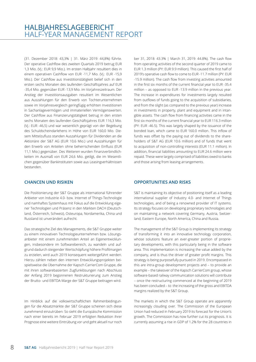(31. Dezember 2018: 43,3% | 31. März 2019: 44,8%) führte. Der operative Cashflow des zweiten Quartals 2019 betrug EUR 1,3 Mio. (Vj.: EUR 9,9 Mio.). Im ersten Halbjahr resultiert dies in einem operativen Cashflow von EUR -11,7 Mio. (Vj.: EUR -15,9 Mio.). Der Cashflow aus Investitionstätigkeit belief sich in den ersten sechs Monaten des laufenden Geschäftsjahres auf EUR -35,4 Mio. gegenüber EUR -13,9 Mio. im Vorjahreszeitraum. Der Anstieg der Investitionsausgaben resultiert im Wesentlichen aus Auszahlungen für den Erwerb von Tochterunternehmen sowie im Vorjahresvergleich geringfügig erhöhten Investitionen in Sachanlagevermögen und immateriellen Vermögenswerten. Der Cashflow aus Finanzierungstätigkeit betrug in den ersten sechs Monaten des laufenden Geschäftsjahres EUR 116,3 Mio. (Vj.: EUR -46,5) und war wesentlich geprägt von der Begebung des Schuldscheindarlehens in Höhe von EUR 160,0 Mio. Diesem Mittelzufluss standen Auszahlungen für Dividenden an die Aktionäre der S&T AG (EUR 10,6 Mio.) und Auszahlungen für den Erwerb von Anteilen ohne beherrschenden Einfluss (EUR 11,1 Mio.) gegenüber. Des Weiteren wurden Finanzverbindlichkeiten im Ausmaß von EUR 24,6 Mio. getilgt, die im Wesentlichen gegenüber Bankinstituten sowie aus Leasingverhältnissen bestanden.

#### **CHANCEN UND RISIKEN**

Die Positionierung der S&T Gruppe als international führender Anbieter von Industrie 4.0- bzw. Internet of Things-Technologie und namhaftes Systemhaus mit Fokus auf die Entwicklung eigener Technologien und Präsenz in den Märkten DACH (Deutschland, Österreich, Schweiz), Osteuropa, Nordamerika, China und Russland ist unverändert aufrecht.

Das strategische Ziel des Managements, die S&T Gruppe weiter zu einem innovativen Technologieunternehmen bzw. Lösungsanbieter mit einem zunehmenden Anteil an Eigenentwicklungen, insbesondere im Softwarebereich, zu wandeln und aufgrund dadurch steigender Wertschöpfung höhere Profitmargen zu erzielen, wird auch 2019 konsequent weitergeführt werden. Hierzu zählen neben den internen Entwicklungsprojekten beispielsweise die Übernahme der Kapsch CarrierCom Gruppe, die mit ihren softwarebasierten Zugfunklösungen nach Abschluss der Anfang 2019 begonnenen Restrukturierung zum Anstieg der Brutto- und EBITDA Marge der S&T Gruppe beitragen wird.

Im Hinblick auf die volkswirtschaftlichen Rahmenbedingungen für die Absatzmärkte der S&T Gruppe scheinen sich diese zunehmend einzutrüben: So sieht die Europäische Kommission nach einer bereits im Februar 2019 erfolgten Reduktion ihrer Prognose eine weitere Eintrübung vor und geht aktuell nur noch

ber 31, 2018: 43.3% | March 31, 2019: 44.8%). The cash flow from operating activities of the second quarter of 2019 came to EUR 1.3 million (PY: EUR 9.9 million). This caused the first half of 2019's operative cash flow to come to EUR -11.7 million (PY: EUR -15.9 million). The cash flow from investing activities amounted in the first six months of the current financial year to EUR -35.4 million – as opposed to EUR -13.9 million in the previous year. The increase in expenditures for investments largely resulted from outflows of funds going to the acquisition of subsidiaries, and from the slight (as compared to the previous year) increase in investments in property, plant and equipment and in intangible assets. The cash flow from financing activities came in the first six months of the current financial year to EUR 116.3 million (PY: EUR -46.5). This was largely shaped by the issuance of the bonded loan, which came to EUR 160.0 million. This inflow of funds was offset by the paying out of dividends to the shareholders of S&T AG (EUR 10.6 million) and of funds that went to acquisition of non-controlling interests (EUR 11.1 million). In addition, financial liabilities amounting to EUR 24.6 million were repaid. These were largely comprised of liabilities owed to banks and those arising from leasing arrangements.

#### **OPPORTUNITIES AND RISKS**

S&T is maintaining its objective of positioning itself as a leading international supplier of Industry 4.0- and Internet of Things technologies, and of being a renowned provider of IT systems. Its strategy focuses on developing proprietary technologies and on maintaining a network covering Germany, Austria, Switzerland, Eastern Europe, North America, China and Russia.

The management of the S&T Group is implementing its strategy of transforming it into an innovative technology corporation, whose solutions feature an ever-greater portion of proprietary developments, with this particularly being in the software area. This implementation is increasing the value added by the company, and is thus the driver of greater profit margins. This strategy is being purposefully pursued in 2019. Encompassed in this are intra-group development projects and – to provide an example – the takeover of the Kapsch CarrierCom group, whose software-based railway communication solutions will contribute – once the restructuring commenced at the beginning of 2019 has been concluded – to the increasing of the gross and EBITDA margins realized by the S&T Group.

The markets in which the S&T Group operate are apparently increasingly clouding over. The Commission of the European Union had reduced in February 2019 its forecast for the Union's growth. The Commission has now further cut its prognosis. It is currently assuming a rise in GDP of 1.2% for the 28 countries in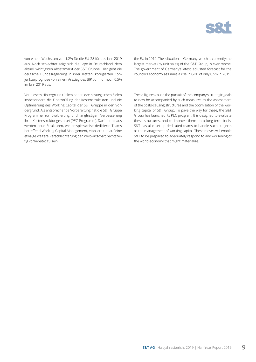

von einem Wachstum von 1,2% für die EU-28 für das Jahr 2019 aus. Noch schlechter zeigt sich die Lage in Deutschland, dem aktuell wichtigsten Absatzmarkt der S&T Gruppe: Hier geht die deutsche Bundesregierung in ihrer letzten, korrigierten Konjunkturprognose von einem Anstieg des BIP von nur noch 0,5% im Jahr 2019 aus.

Vor diesem Hintergrund rücken neben den strategischen Zielen insbesondere die Überprüfung der Kostenstrukturen und die Optimierung des Working Capital der S&T Gruppe in den Vordergrund: Als entsprechende Vorbereitung hat die S&T Gruppe Programme zur Evaluierung und langfristigen Verbesserung ihrer Kostenstruktur gestartet (PEC-Programm). Darüber hinaus werden neue Strukturen, wie beispielsweise dedizierte Teams betreffend Working Capital Management, etabliert, um auf eine etwaige weitere Verschlechterung der Weltwirtschaft rechtszeitig vorbereitet zu sein.

the EU in 2019. The situation in Germany, which is currently the largest market (by unit sales) of the S&T Group, is even worse. The government of Germany's latest, adjusted forecast for the country's economy assumes a rise in GDP of only 0.5% in 2019.

These figures cause the pursuit of the company's strategic goals to now be accompanied by such measures as the assessment of the costs-causing structures and the optimization of the working capital of S&T Group. To pave the way for these, the S&T Group has launched its PEC program. It is designed to evaluate these structures, and to improve them on a long-term basis. S&T has also set up dedicated teams to handle such subjects as the management of working capital. These moves will enable S&T to be prepared to adequately respond to any worsening of the world economy that might materialize.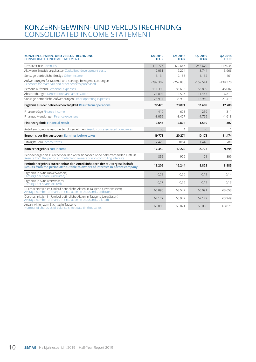### CONSOLIDATED INCOME STATEMENT KONZERN-GEWINN- UND VERLUSTRECHNUNG

| KONZERN-GEWINN- UND VERLUSTRECHNUNG<br><b>CONSOLIDATED INCOME STATEMENT</b>                                                                                  | 6M 2019<br><b>TEUR</b> | 6M 2018<br><b>TEUR</b> | O <sub>2</sub> 2019<br><b>TEUR</b> | Q2 2018<br><b>TEUR</b> |
|--------------------------------------------------------------------------------------------------------------------------------------------------------------|------------------------|------------------------|------------------------------------|------------------------|
| Umsatzerlöse Revenues                                                                                                                                        | 473.776                | 422.666                | 248,670                            | 219.035                |
| Aktivierte Entwicklungskosten Capitalized development costs                                                                                                  | 7.031                  | 7.274                  | 3.744                              | 3.966                  |
| Sonstige betriebliche Erträge Other income                                                                                                                   | 3.134                  | 2.158                  | 1.132                              | 1.461                  |
| Aufwendungen für Material und sonstige bezogene Leistungen<br>Expenses for materials and other services purchased                                            | $-299.309$             | $-267.885$             | $-159.541$                         | $-138.370$             |
| Personalaufwand Personnel expenses                                                                                                                           | $-111.399$             | $-88.633$              | $-56.899$                          | $-45.082$              |
| Abschreibungen Depreciation and amortization                                                                                                                 | $-21.893$              | $-13.596$              | $-11.467$                          | $-6.811$               |
| Sonstige betriebliche Aufwendungen Other operating expenses                                                                                                  | $-28.914$              | $-38.910$              | $-13.950$                          | $-21.419$              |
| Ergebnis aus der betrieblichen Tätigkeit Result from operations                                                                                              | 22.426                 | 23.074                 | 11.689                             | 12.780                 |
| Finanzerträge Finance income                                                                                                                                 | 410                    | 603                    | 259                                | 311                    |
| Finanzaufwendungen Finance expenses                                                                                                                          | $-3.055$               | $-3.407$               | $-1.769$                           | $-1.618$               |
| <b>Finanzergebnis Financial result</b>                                                                                                                       | $-2.645$               | $-2.804$               | $-1.510$                           | $-1.307$               |
| Anteil am Ergebnis assoziierter Unternehmen Result from associated companies                                                                                 | $-8$                   | 4                      | $-6$                               | $\mathbf{1}$           |
| Ergebnis vor Ertragsteuern Earnings before taxes                                                                                                             | 19.773                 | 20.274                 | 10.173                             | 11.474                 |
| Ertragsteuern Income taxes                                                                                                                                   | $-2.423$               | $-3.054$               | $-1.446$                           | $-1.780$               |
| Konzernergebnis Net income                                                                                                                                   | 17.350                 | 17.220                 | 8.727                              | 9.694                  |
| Periodenergebnis zurechenbar den Anteilsinhabern ohne beherrschenden Einfluss<br>Results from the period attributable to owners of non-controlling interests | $-855$                 | 976                    | $-101$                             | 809                    |
| Periodenergebnis zurechenbar den Anteilsinhabern der Muttergesellschaft<br>Results from the period attributable to owners of interests in parent company     | 18.205                 | 16.244                 | 8.828                              | 8.885                  |
| Ergebnis je Aktie (unverwässert)<br>Earnings per share (undiluted)                                                                                           | 0.28                   | 0.26                   | 0.13                               | 0,14                   |
| Ergebnis je Aktie (verwässert)<br>Earnings per share (diluted)                                                                                               | 0.27                   | 0,25                   | 0.13                               | 0.13                   |
| Durchschnittlich im Umlauf befindliche Aktien in Tausend (unverwässert)<br>Average number of shares in circulation (in thousands, undiluted)                 | 66.090                 | 63.549                 | 66.091                             | 63.653                 |
| Durchschnittlich im Umlauf befindliche Aktien in Tausend (verwässert)<br>Average number of shares in circulation (in thousands, diluted)                     | 67.127                 | 63.949                 | 67.129                             | 63.949                 |
| Anzahl Aktien zum Stichtag in Tausend<br>Number of shares as of balance sheet date (in thousands)                                                            | 66.096                 | 63.871                 | 66.096                             | 63.871                 |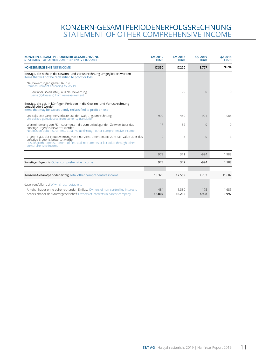### KONZERN-GESAMTPERIODENERFOLGSRECHNUNG STATEMENT OF OTHER COMPREHENSIVE INCOME

| KONZERN-GESAMTPERIODENERFOLGSRECHNUNG<br><b>STATEMENT OF OTHER COMPREHENSIVE INCOME</b>                                                                                                                                           | 6M 2019<br><b>TEUR</b> | 6M 2018<br><b>TEUR</b> | O <sub>2</sub> 2019<br><b>TEUR</b> | Q2 2018<br><b>TEUR</b> |
|-----------------------------------------------------------------------------------------------------------------------------------------------------------------------------------------------------------------------------------|------------------------|------------------------|------------------------------------|------------------------|
| <b>KONZERNERGEBNIS NET INCOME</b>                                                                                                                                                                                                 | 17.350                 | 17.220                 | 8.727                              | 9.694                  |
| Beträge, die nicht in die Gewinn- und Verlustrechnung umgegliedert werden<br>Items that will not be reclassified to profit or loss                                                                                                |                        |                        |                                    |                        |
| Neubewertungen gemäß IAS 19<br>Remeasurement according to IAS 19                                                                                                                                                                  |                        |                        |                                    |                        |
| Gewinne(+)/Verluste(-) aus Neubewertung<br>Gains (+)/losses(-) from remeasurement                                                                                                                                                 | $\Omega$               | $-29$                  | $\Omega$                           | 0                      |
| Beträge, die ggf. in künftigen Perioden in die Gewinn- und Verlustrechnung<br>umgegliedert werden<br>Items that may be subsequently reclassified to profit or loss                                                                |                        |                        |                                    |                        |
| Unrealisierte Gewinne/Verluste aus der Währungsumrechnung<br>Unrealized gains/losses from currency translation                                                                                                                    | 990                    | 450                    | $-994$                             | 1.985                  |
| Wertminderung von FK-Instrumenten die zum beizulegenden Zeitwert über das<br>sonstige Ergebnis bewertet werden<br>Net loss on debt Instruments at fair value through other comprehensive income                                   | $-17$                  | $-82$                  | $\Omega$                           | $\Omega$               |
| Ergebnis aus der Neubewertung von Finanzinstrumenten, die zum Fair Value über das<br>sonstige Ergebnis bewertet werden<br>Results from remeasurement of financial instruments at fair value through other<br>comprehensive income | $\Omega$               | 3                      | $\Omega$                           | 3                      |
|                                                                                                                                                                                                                                   | 973                    | 371                    | $-994$                             | 1.988                  |
| Sonstiges Ergebnis Other comprehensive income                                                                                                                                                                                     | 973                    | 342                    | $-994$                             | 1.988                  |
|                                                                                                                                                                                                                                   |                        |                        |                                    |                        |
| Konzern-Gesamtperiodenerfolg Total other comprehensive income                                                                                                                                                                     | 18.323                 | 17.562                 | 7.733                              | 11.682                 |
| davon entfallen auf of which attributable to                                                                                                                                                                                      |                        |                        |                                    |                        |
| Anteilsinhaber ohne beherrschenden Einfluss Owners of non-controlling interests<br>Anteilsinhaber der Muttergesellschaft Owners of interests in parent company                                                                    | $-484$<br>18.807       | 1.330<br>16.232        | $-175$<br>7.908                    | 1.685<br>9.997         |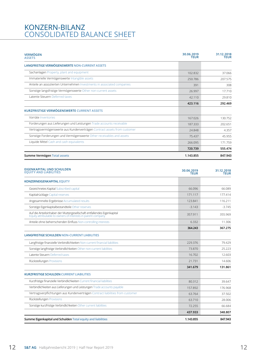### KONZERN-BILANZ CONSOLIDATED BALANCE SHEET

| <b>VERMÖGEN</b><br><b>ASSETS</b>                                                                                                        | 30.06.2019<br><b>TEUR</b> | 31.12.2018<br><b>TEUR</b> |
|-----------------------------------------------------------------------------------------------------------------------------------------|---------------------------|---------------------------|
| <b>LANGFRISTIGE VERMÖGENSWERTE NON-CURRENT ASSETS</b>                                                                                   |                           |                           |
| Sachanlagen Property, plant and equipment                                                                                               | 102.832                   | 37.066                    |
| Immaterielle Vermögenswerte Intangible assets                                                                                           | 250.786                   | 207.575                   |
| Anteile an assoziierten Unternehmen Investments in associated companies                                                                 | 391                       | 308                       |
| Sonstige langsfristige Vermögenswerte Other non-current assets                                                                          | 26.997                    | 17.710                    |
| Latente Steuern Deferred taxes                                                                                                          | 42.110                    | 29.810                    |
|                                                                                                                                         | 423.116                   | 292.469                   |
| <b>KURZFRISTIGE VERMÖGENSWERTE CURRENT ASSETS</b>                                                                                       |                           |                           |
| Vorräte Inventories                                                                                                                     | 167.026                   | 130.752                   |
| Forderungen aus Lieferungen und Leistungen Trade accounts receivable                                                                    | 187.333                   | 202.651                   |
| Vertragsvermögenswerte aus Kundenverträgen Contract assets from customer                                                                | 24.848                    | 4.357                     |
| Sonstige Forderungen und Vermögenswerte Other receivables and assets                                                                    | 75.437                    | 45.955                    |
| Liquide Mittel Cash and cash equivalents                                                                                                | 266.095                   | 171.759                   |
|                                                                                                                                         | 720.739                   | 555.474                   |
| Summe Vermögen Total assets                                                                                                             | 1.143.855                 | 847.943                   |
| <b>EQUITY AND LIABILITIES</b><br><b>KONZERNEIGENKAPITAL EQUITY</b>                                                                      | <b>TEUR</b>               | <b>TEUR</b>               |
| Gezeichnetes Kapital Subscribed capital                                                                                                 | 66.096                    | 66.089                    |
| Kapitalrücklage Capital reserves                                                                                                        | 171.117                   | 177.414                   |
| Angesammelte Ergebnisse Accumulated results                                                                                             | 123.841                   | 116.211                   |
| Sonstige Eigenkapitalbestandteile Other reserves                                                                                        | $-3.143$                  | $-3.745$                  |
| Auf die Anteilsinhaber der Muttergesellschaft entfallendes Eigenkapital<br>Equity attributable to owners of interests in parent company | 357.911                   | 355.969                   |
| Anteile ohne beherrschenden Einfluss Non-controlling interests                                                                          | 6.332                     | 11.306                    |
|                                                                                                                                         | 364.243                   | 367.275                   |
| <b>LANGFRISTIGE SCHULDEN NON-CURRENT LIABILITIES</b>                                                                                    |                           |                           |
| Langfristige finanzielle Verbindlichkeiten Non-current financial liabilities                                                            | 229.376                   | 79.429                    |
| Sonstige langfristige Verbindlichkeiten Other non-current liabilities                                                                   | 73.870                    | 25.223                    |
| Latente Steuern Deferred taxes                                                                                                          | 16.702                    | 12.603                    |
| Rückstellungen Provisions                                                                                                               | 21.731                    | 14.606                    |
|                                                                                                                                         | 341.679                   | 131.861                   |
| <b>KURZFRISTIGE SCHULDEN CURRENT LIABILITIES</b>                                                                                        |                           |                           |
| Kurzfristige finanzielle Verbindlichkeiten Current financial liabilities                                                                | 80.312                    | 39.647                    |
|                                                                                                                                         |                           |                           |

Verbindlichkeiten aus Lieferungen und Leistungen Trade accounts payable 157.892 176.968 Vertragsverpflichtungen aus Kundenverträgen Contract liabilities from customer 63.764 63.764 63.764 37.502 Rückstellungen Provisions 63.710 28.006 Sonstige kurzfristige Verbindlichkeiten Other current liabilities 72.255 66.684 **437.933 348.807 Summe Eigenkapital und Schulden Total equity and liabilities 1.143.855 847.943**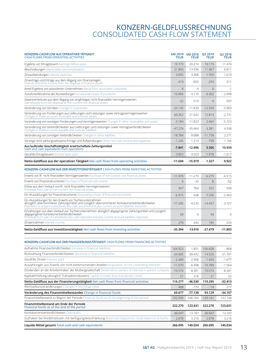### KONZERN-GELDFLUSSRECHNUNG CONSOLIDATED CASH FLOW STATEMENT

| KONZERN-CASHFLOW AUS OPERATIVER TATIGKEIT<br><b>CASH FLOWS FROM OPERATING ACTIVITIES</b>                                                                                                                                                                      | <b>TEUR</b>           | 6M 2019 6M 2018<br><b>TEUR</b> | Q2 2019<br><b>TEUR</b> | Q2 2018<br><b>TEUR</b> |
|---------------------------------------------------------------------------------------------------------------------------------------------------------------------------------------------------------------------------------------------------------------|-----------------------|--------------------------------|------------------------|------------------------|
| Ergebnis vor Ertragsteuern Earnings before taxes                                                                                                                                                                                                              | 19.773                | 20.274                         | 10.173                 | 11.474                 |
| Abschreibungen Depreciation and amortization                                                                                                                                                                                                                  | 21.893                | 13.596                         | 11.467                 | 6.811                  |
| Zinsaufwendungen Interest expenses                                                                                                                                                                                                                            | 3.055                 | 3.408                          | 1.769                  | 1.619                  |
| Zinserträge und Erträge aus dem Abgang von Finanzanlagen<br>Interest and other income from the disposal of financial assets                                                                                                                                   | $-410$                | $-603$                         | $-259$                 | $-311$                 |
| Anteil Ergebnis von assoziierten Unternehmen Result from associated companies                                                                                                                                                                                 | 8                     | -4                             | 6                      | $-1$                   |
| Zunahme/Abnahme der Rückstellungen Increase/decrease of provisions                                                                                                                                                                                            | $-16.866$             | $-3.110$                       | $-6.302$               | $-2.098$               |
| Gewinne/Verluste aus dem Abgang von langfristigen nicht-finanziellen Vermögenswerten<br>Gains/losses from the disposal of non-current non-financial assets                                                                                                    | $-22$                 | $-519$                         | $-4$                   | $-507$                 |
| Veränderung von Vorräten Changes in inventories                                                                                                                                                                                                               | $-23.135$             | $-11.820$                      | $-12.930$              | $-5.969$               |
| Veränderung von Forderungen aus Lieferungen und Leistungen sowie Vertragsvermögenswerten<br>Changes in trade accounts receivable and contract assets                                                                                                          | 60.352                | 21.043                         | 12.813                 | $-2.731$               |
| Veränderung von sonstigen Forderungen und Vermögenswerten Changes in other receivables and assets                                                                                                                                                             | $-5.184$              | $-11.823$                      | 2.469                  | $-5.723$               |
| Veränderung von Verbindlichkeiten aus Lieferungen und Leistungen sowie Vertragsverbindlichkeiten<br>Changes in trade accounts payable and contract liabilities                                                                                                | $-47.276$             | $-35.464$                      | $-3.381$               | 4.938                  |
| Veränderung von sonstigen Verbindlichkeiten Changes in other liabilities                                                                                                                                                                                      | $-18.784$             | $-9.088$                       | $-11.758$              | 2.271                  |
| Sonstige nicht zahlungswirksame Erträge und Aufwendungen Other non-cash income and expenses                                                                                                                                                                   | $-1.245$              | 1.214                          | $-758$                 | 1.166                  |
| Aus laufender Geschäftstätigkeit erwirtschaftete Zahlungsmittel<br>Cash and cash equivalents from operations                                                                                                                                                  | $-7.841$              | $-12.896$                      | 3.305                  | 10.939                 |
| Gezahlte Ertragsteuern Income taxes paid                                                                                                                                                                                                                      | $-3.853$              | $-3.023$                       | $-1.978$               | $-1.017$               |
| Netto-Geldfluss aus der operativen Tätigkeit Net cash flows from operating activities                                                                                                                                                                         | $-11.694$             | $-15.919$                      | 1.327                  | 9.922                  |
| KONZERN-CASHFLOW AUS DER INVESTITIONSTÄTIGKEIT CASH FLOWS FROM INVESTING ACTIVITIES                                                                                                                                                                           |                       |                                |                        |                        |
| Erwerb von Ifr. nicht-finanziellen Vermögenswerten Purchase of non-current non-financial assets                                                                                                                                                               | $-11.970$             | $-11.279$                      | $-6.275$               | $-6.515$               |
| Erwerb von Finanzinstrumenten Purchase of financial instruments                                                                                                                                                                                               | $\overline{0}$        | $-32$                          | $\overline{0}$         | $-32$                  |
| Erlöse aus dem Verkauf von Ifr. nicht-finanziellen Vermögenswerten<br>Proceeds from sale of non-current non-financial assets                                                                                                                                  | 367                   | 764                            | 325                    | 590                    |
| Ein-/Auszahlungen für Finanzinstrumente Disposal/purchase of financial instruments                                                                                                                                                                            | $-6.915$              | 428                            | $-7.336$               | $-2.463$               |
| Ein-/Auszahlungen für den Erwerb von Tochterunternehmen<br>abzüglich übernommener Zahlungsmittel und zuzüglich übernommener Kontokorrentverbindlichkeiten.<br>Payments to acquire subsidiaries less cash assumed and plus current account liabilities assumed | $-17.205$             | $-4.233$                       | $-14.437$              | $-3.727$               |
| Einzahlungen aus dem Verkauf von Tochterunternehmen abzüglich abgegangener Zahlungsmittel und zuzüglich<br>abgegangener Kontokorrentverbindlichkeiten<br>Proceeds from sale of subsidiaries less cash disposed and plus current account liabilities disposed  | 59                    | 0                              | 59                     | $\mathbf{0}$           |
| Zinseinnahmen Interest income                                                                                                                                                                                                                                 | 270                   | 442                            | 185                    | 254                    |
| Netto-Geldfluss aus Investitionstätigkeit Net cash flows from investing activities                                                                                                                                                                            | $-35.394$             | $-13.910$                      | $-27.479$              | $-11.893$              |
| KONZERN-CASHFLOW AUS DER FINANZIERUNGSTÄTIGKEIT CASH FLOWS FROM FINANCING ACTIVITIES                                                                                                                                                                          |                       |                                |                        |                        |
| Aufnahme Finanzverbindlichkeiten Increase in financial liabilities<br>Rückzahlung Finanzverbindlichkeiten Decrease in financial liabilities                                                                                                                   | 164.923               | 1.851                          | 156.608                | 868                    |
| Gezahlte Zinsen Interest paid                                                                                                                                                                                                                                 | $-24.605$<br>$-2.409$ | $-30.432$                      | $-14.526$              | -21.791<br>$-1.677$    |
| Auszahlungen aus Erwerb von nicht beherrschenden Anteilen Acquisition of non-controlling interests                                                                                                                                                            | $-11.079$             | $-2.968$<br>$-6.998$           | $-1.445$<br>$-10.789$  | $-1.564$               |
| Dividenden an die Anteilsinhaber der Muttergesellschaft Dividends to owners of interests in parent company                                                                                                                                                    | $-10.574$             | $-8.301$                       | $-10.574$              | $-8.301$               |
| Kapitalerhöhung (abzüglich Transaktionskosten) Capital increase (less transaction costs)                                                                                                                                                                      | 21                    | 318                            | 21                     | 52                     |
| Netto-Geldfluss aus der Finanzierungstätigkeit Net cash flows from financial activities                                                                                                                                                                       | 116.277               | $-46.530$                      | 119.295                | $-32.413$              |
| Wechselkursveränderungen Changes in exchange rates                                                                                                                                                                                                            | 488                   | -779                           | $-14$                  | 277                    |
| Veränderung des Finanzmittelbestandes Change in financial funds                                                                                                                                                                                               | 69.677                | $-77.138$                      | 93.129                 | $-34.107$              |
| Finanzmittelbestand zu Beginn der Periode Financial funds as of the beginning of the period                                                                                                                                                                   | 152.593               | 200.769                        | 129.141                | 157.738                |
| Finanzmittelbestand am Ende der Periode<br>Financial funds as of the end of the period                                                                                                                                                                        | 222.270               | 123.631                        | 222.270                | 123.631                |
| Kontokorrentverbindlichkeiten Overdrafts                                                                                                                                                                                                                      | 40.947                | 13.187                         | 40.947                 | 13.187                 |
| Guthaben bei Kreditinstituten mit Verfügungsbeschränkung Restricted-disposition credit balances at banks                                                                                                                                                      | 2.878                 | 3.216                          | 2.878                  | 3.216                  |
| Liquide Mittel gesamt Total cash and cash equivalents                                                                                                                                                                                                         | 266.095               | 140.034                        | 266.095                | 140.034                |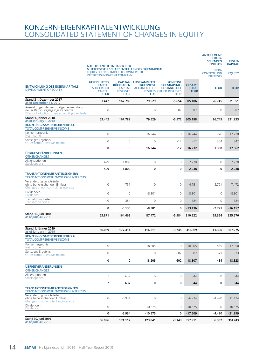### KONZERN-EIGENKAPITALENTWICKLUNG CONSOLIDATED STATEMENT OF CHANGES IN EQUITY

| Stand 30. Juni 2019<br>as of June 30, 2019                                                                                   | 66.096                                                                                      | 171.117                                                              | 123.841                                                                         | $-3.143$                                                                                                       | 357.911                                      | 6.332                                                                       | 364.243                         |
|------------------------------------------------------------------------------------------------------------------------------|---------------------------------------------------------------------------------------------|----------------------------------------------------------------------|---------------------------------------------------------------------------------|----------------------------------------------------------------------------------------------------------------|----------------------------------------------|-----------------------------------------------------------------------------|---------------------------------|
|                                                                                                                              | 0                                                                                           | $-6.934$                                                             | $-10.575$                                                                       | 0                                                                                                              | $-17.509$                                    | $-4.490$                                                                    | $-21.999$                       |
| Changes in non-controlling interests<br>Dividenden<br><b>Dividends</b>                                                       | 0                                                                                           | $\mathsf{O}\xspace$                                                  | $-10.575$                                                                       | 0                                                                                                              | $-10.575$                                    | 0                                                                           | $-10.575$                       |
| Veränderung von Anteilen<br>ohne beherrschenden Einfluss                                                                     | 0                                                                                           | $-6.934$                                                             | $\mathbf 0$                                                                     | $\circ$                                                                                                        | $-6.934$                                     | $-4.490$                                                                    | $-11.424$                       |
| <b>TRANSAKTIONEN MIT ANTEILSEIGNERN</b><br><b>TRANSACTIONS WITH OWNERS OF INTERESTS</b>                                      |                                                                                             |                                                                      |                                                                                 |                                                                                                                |                                              |                                                                             |                                 |
| <b>Stock options</b>                                                                                                         | $\overline{7}$                                                                              | 637                                                                  | 0                                                                               | 0                                                                                                              | 644                                          | 0                                                                           | 644                             |
| <b>ÜBRIGE VERÄNDERUNGEN</b><br><b>OTHER CHANGES</b><br>Aktienoptionen                                                        | 7                                                                                           | 637                                                                  | $\mathbf 0$                                                                     | $\mathbf 0$                                                                                                    | 644                                          | 0                                                                           | 644                             |
|                                                                                                                              | 0                                                                                           | 0                                                                    | 18.205                                                                          | 602                                                                                                            | 18.807                                       | -484                                                                        | 18.323                          |
| Sonstiges Ergebnis<br>Other comprehensive income                                                                             | 0                                                                                           | 0                                                                    | $\mathbf 0$                                                                     | 602                                                                                                            | 602                                          | 371                                                                         | 973                             |
| Konzernergebnis<br>income                                                                                                    | 0                                                                                           | 0                                                                    | 18.205                                                                          | 0                                                                                                              | 18.205                                       | $-855$                                                                      | 17.350                          |
| as of January 1, 2019<br>KONZERN-GESAMTPERIODENERFOLG<br><b>TOTAL COMPREHENSIVE INCOME</b>                                   |                                                                                             |                                                                      |                                                                                 |                                                                                                                |                                              |                                                                             |                                 |
| Stand 1. Jänner 2019                                                                                                         | 66.089                                                                                      | 177.414                                                              | 116.211                                                                         | $-3.745$                                                                                                       | 355.969                                      | 11.306                                                                      | 367.275                         |
| Stand 30. Juni 2018<br>as of June 30, 2018                                                                                   | 63.871                                                                                      | 164.463                                                              | 87.472                                                                          | $-5.584$                                                                                                       | 310.222                                      | 25.354                                                                      | 335.576                         |
|                                                                                                                              | 0                                                                                           | $-5.135$                                                             | $-8.301$                                                                        | 0                                                                                                              | $-13.436$                                    | $-2.721$                                                                    | $-16.157$                       |
| Transaktionskosten<br>Transaction costs                                                                                      | $\overline{0}$                                                                              | $-384$                                                               | $\mathbf 0$                                                                     | $\circ$                                                                                                        | $-384$                                       | 0                                                                           | $-384$                          |
| Dividenden<br><b>Dividends</b>                                                                                               | 0                                                                                           | $\mathbf 0$                                                          | $-8.301$                                                                        | 0                                                                                                              | $-8.301$                                     | 0                                                                           | $-8.301$                        |
| Veränderung von Anteilen<br>ohne beherrschenden Einfluss<br>Changes of non-controlling interests                             | 0                                                                                           | $-4.751$                                                             | $\mathbf 0$                                                                     | 0                                                                                                              | $-4.751$                                     | $-2.721$                                                                    | $-7.472$                        |
| <b>TRANSAKTIONEN MIT ANTEILSEIGNERN</b><br><b>TRANSACTIONS WITH OWNERS OF INTERESTS</b>                                      |                                                                                             |                                                                      |                                                                                 |                                                                                                                |                                              |                                                                             |                                 |
| Stock options                                                                                                                | 429                                                                                         | 1.809                                                                | 0                                                                               | 0                                                                                                              | 2.238                                        | 0                                                                           | 2.238                           |
| <b>OTHER CHANGES</b><br>Aktienoptionen                                                                                       | 429                                                                                         | 1.809                                                                | $\mathbf 0$                                                                     | $\mathbf 0$                                                                                                    | 2.238                                        | 0                                                                           | 2.238                           |
| <b>ÜBRIGE VERÄNDERUNGEN</b>                                                                                                  | 0                                                                                           | 0                                                                    | 16.244                                                                          | -12                                                                                                            | 16.232                                       | 1.330                                                                       | 17.562                          |
| Sonstiges Ergebnis<br>Other comprehensive income                                                                             | $\overline{0}$                                                                              | $\mathbf 0$                                                          | $\mathbf{0}$                                                                    | $-12$                                                                                                          | $-12$                                        | 354                                                                         | 342                             |
| Konzernergebnis<br>Net income                                                                                                | $\overline{0}$                                                                              | $\mathbf{0}$                                                         | 16.244                                                                          | $\mathbf{0}$                                                                                                   | 16.244                                       | 976                                                                         | 17.220                          |
| KONZERN-GESAMTPERIODENERFOLG<br><b>TOTAL COMPREHENSIVE INCOME</b>                                                            |                                                                                             |                                                                      |                                                                                 |                                                                                                                |                                              |                                                                             |                                 |
| Stand 1. Jänner 2018<br>as of January 1, 2018                                                                                | 63.442                                                                                      | 167.789                                                              | 79.529                                                                          | $-5.572$                                                                                                       | 305.188                                      | 26.745                                                                      | 331.933                         |
| Auswirkungen der erstmaligen Anwendung<br>neuer Rechnungslegungsstandards<br>Effects of adoption of new accounting standards | $\overline{0}$                                                                              | $\mathbf 0$                                                          | $\mathbf 0$                                                                     | 82                                                                                                             | 82                                           | 0                                                                           | 82                              |
| Stand 31. Dezember 2017<br>as of December 31, 2017                                                                           | 63.442                                                                                      | 167.789                                                              | 79.529                                                                          | $-5.654$                                                                                                       | 305.106                                      | 26.745                                                                      | 331.851                         |
| <b>ENTWICKLUNG DES EIGENKAPITALS</b><br><b>DEVELOPMENT OF EQUITY</b>                                                         | <b>GEZEICHNETES</b><br><b>KAPITAL</b><br><b>SUBSCRIBED</b><br><b>CAPITAL</b><br><b>TEUR</b> | <b>RÜCKLAGEN</b><br><b>CAPITAL</b><br><b>RESERVES</b><br><b>TEUR</b> | KAPITAL- ANGESAMMELTE<br><b>ERGEBNISSE</b><br><b>ACCUMULATED</b><br><b>TEUR</b> | <b>SONSTIGE</b><br><b>EIGENKAPITAL-</b><br><b>BESTANDTEILE</b><br><b>RESULTS OTHER RESERVES</b><br><b>TEUR</b> | <b>GESAMT</b><br><b>TOTAL</b><br><b>TEUR</b> | <b>TEUR</b>                                                                 | <b>TEUR</b>                     |
|                                                                                                                              | EQUITY ATTRIBUTABLE TO OWNERS OF<br><b>INTERESTS IN PARENT COMPANY</b>                      |                                                                      | MUTTERGESELLSCHAFT ENTFALLENDES EIGENKAPITAL                                    |                                                                                                                |                                              | NON-<br><b>CONTROLLING</b><br><b>INTERESTS</b>                              | <b>EQUITY</b>                   |
|                                                                                                                              | AUF DIE ANTEILSINHABER DER                                                                  |                                                                      |                                                                                 |                                                                                                                |                                              | <b>ANTEILE OHNE</b><br><b>BEHERR-</b><br><b>SCHENDEN</b><br><b>EINFLUSS</b> | <b>EIGEN-</b><br><b>KAPITAL</b> |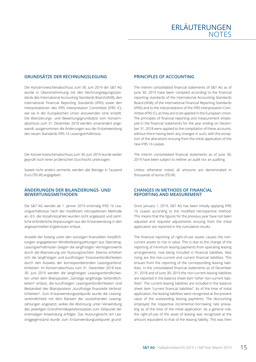#### **GRUNDSÄTZE DER RECHNUNGSLEGUNG**

Der Konzernzwischenabschluss zum 30. Juni 2019 der S&T AG wurde in Übereinstimmung mit den Rechnungslegungsstandards des International Accounting Standards Board (IASB), den International Financial Reporting Standards (IFRS) sowie den Interpretationen des IFRS Interpretation Committee (IFRS IC), wie sie in der Europäischen Union anzuwenden sind, erstellt. Die Bilanzierungs- und Bewertungsgrundsätze vom Konzernabschluss zum 31. Dezember 2018 werden unverändert angewandt, ausgenommen die Änderungen aus der Erstanwendung des neuen Standards IFRS 16 Leasingverhältnisse.

Der Konzernzwischenabschluss zum 30. Juni 2019 wurde weder geprüft noch einer prüferischen Durchsicht unterzogen.

Soweit nicht anders vermerkt, werden alle Beträge in Tausend Euro (TEUR) angegeben.

#### **ÄNDERUNGEN DER BILANZIERUNGS- UND BEWERTUNGSMETHODEN**

Die S&T AG wendet ab 1. Jänner 2019 erstmalig IFRS 16 Leasingverhältnisse nach der modifiziert retrospektiven Methode an, d.h. die Vorjahreszahlen wurden nicht angepasst und sämtliche erforderliche Anpassungen aus der Erstanwendung in den angesammelten Ergebnissen erfasst.

Anstelle der bislang unter den sonstigen finanziellen Verpflichtungen angegebenen Mindestleasingzahlungen aus Operating-Leasingverhältnissen steigen die langfristigen Vermögenswerte durch die Bilanzierung von Nutzungsrechten. Ebenso erhöhen sich die langfristigen und kurzfristigen Finanzverbindlichkeiten durch den Ausweis der korrespondierenden Leasingverbindlichkeiten. Im Konzernabschluss zum 31. Dezember 2018 bzw. 30. Juni 2019 werden die langfristigen Leasingverbindlichkeiten unter dem Bilanzposten "Sonstige langfristige Verbindlichkeiten" erfasst, die kurzfristigen Leasingverbindlichkeiten sind Bestandteil des Bilanzpostens "Kurzfristige finanzielle Verbindlichkeiten". Zum Erstanwendungszeitpunkt wurde die Leasingverbindlichkeit mit dem Barwert der ausstehenden Leasingzahlungen angesetzt, wobei die Abzinsung unter Verwendung des jeweiligen Grenzfremdkapitalzinssatzes zum Zeitpunkt der erstmaligen Anwendung erfolgte. Das Nutzungsrecht am Leasinggegenstand wurde zum Erstanwendungszeitpunkt grund-

#### **PRINCIPLES OF ACCOUNTING**

The interim consolidated financial statements of S&T AG as of June 30, 2019 have been compiled according to the financial reporting standards of the International Accounting Standards Board (IASB), of the International Financial Reporting Standards (IFRS) and to the interpretations of the IFRS Interpretation Committee (IFRS IC), as they are to be applied in the European Union. The principles of financial reporting and measurement employed in the financial statements for the year ending on December 31, 2018 were applied to the compilation of these accounts, without there having been any changes in such, with the exception of the alterations ensuing from the initial application of the new IFRS 16 Leases.

The interim consolidated financial statements as of June 30, 2019 have been subject to neither an audit nor an auditing.

Unless otherwise noted, all amounts are denominated in thousands of euros (TEUR).

#### **CHANGES IN METHODS OF FINANCIAL REPORTING AND MEASUREMENT**

Since January 1, 2019, S&T AG has been initially applying IFRS 16 Leases according to the modified retrospective method. This means that the figures for the previous year have not been adjusted and requisite adjustments ensuing from the initial application are reported in the cumulative results.

The financial reporting of right-of-use assets causes the noncurrent assets to rise in value. This is due to the change of the reporting of minimum leasing payments from operating leasing arrangements, now being included in financial liabilities. Also rising are the non-current and current financial liabilities. This ensues from the reporting of the corresponding leasing liabilities. In the consolidated financial statements as of December 31, 2018 and of June 30, 2019 the non-current leasing liabilities are reported in the balance sheet item "other non-current liabilities". The current leasing liabilities are included in the balance sheet item "current financial liabilities". As of the time of initial application, the leasing liabilities were recognized at the present value of the outstanding leasing payments. The discounting employed the respective incremental borrowing rate prevailing as of the time of the initial application. As a general rule, the right-of-use of the asset of leasing was recognized at the amount equivalent to that of the leasing liability. This was then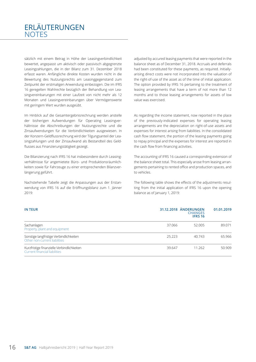### ERLÄUTERUNGEN **NOTES**

sätzlich mit einem Betrag in Höhe der Leasingverbindlichkeit bewertet, angepasst um aktivisch oder passivisch abgegrenzte Leasingzahlungen, die in der Bilanz zum 31. Dezember 2018 erfasst waren. Anfängliche direkte Kosten wurden nicht in die Bewertung des Nutzungsrechts am Leasinggegenstand zum Zeitpunkt der erstmaligen Anwendung einbezogen. Die im IFRS 16 geregelten Wahlrechte bezüglich der Behandlung von Leasingvereinbarungen mit einer Laufzeit von nicht mehr als 12 Monaten und Leasingvereinbarungen über Vermögenswerte mit geringem Wert wurden ausgeübt.

Im Hinblick auf die Gesamtergebnisrechnung werden anstelle der bisherigen Aufwendungen für Operating Leasingverhältnisse die Abschreibungen der Nutzungsrechte und die Zinsaufwendungen für die Verbindlichkeiten ausgewiesen. In der Konzern-Geldflussrechnung wird der Tilgungsanteil der Leasingzahlungen und der Zinsaufwand als Bestandteil des Geldflusses aus Finanzierungstätigkeit gezeigt.

Die Bilanzierung nach IFRS 16 hat insbesondere durch Leasingverhältnisse für angemietete Büro- und Produktionsräumlichkeiten sowie für Fahrzeuge zu einer entsprechenden Bilanzverlängerung geführt.

Nachstehende Tabelle zeigt die Anpassungen aus der Erstanwendung von IFRS 16 auf die Eröffnungsbilanz zum 1. Jänner 2019:

adjusted by accured leasing payments that were reported in the balance sheet as of December 31, 2018. Accruals and deferrals had been constituted for these payments, as required. Initiallyarising direct costs were not incorporated into the valuation of the right-of-use of the asset as of the time of initial application. The option provided by IFRS 16 pertaining to the treatment of leasing arrangements that have a term of not more than 12 months and to those leasing arrangements for assets of low value was exercised.

As regarding the income statement, now reported in the place of the previously-indicated expenses for operating leasing arrangements are the depreciation on right-of-use assets and expenses for interest arising from liabilities. In the consolidated cash flow statement, the portion of the leasing payments going to repay principal and the expenses for interest are reported in the cash flow from financing activities.

The accounting of IFRS 16 caused a corresponding extension of the balance sheet total. This especially arose from leasing arrangements pertaining to rented office and production spaces, and to vehicles.

The following table shows the effects of the adjustments resulting from the initial application of IFRS 16 upon the opening balance as of January 1, 2019:

| <b>IN TEUR</b>                                                              |        | 31.12.2018 ÄNDERUNGEN<br><b>CHANGES</b><br><b>IFRS 16</b> | 01.01.2019 |
|-----------------------------------------------------------------------------|--------|-----------------------------------------------------------|------------|
| Sachanlagen<br>Property, plant and equipment                                | 37.066 | 52.005                                                    | 89.071     |
| Sonstige langfristige Verbindlichkeiten<br>Other non-current liabilities    | 25.223 | 40.743                                                    | 65.966     |
| Kurzfristige finanzielle Verbindlichkeiten<br>Current financial liabilities | 39.647 | 11.262                                                    | 50.909     |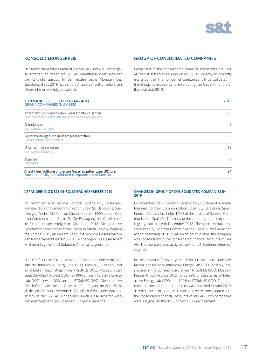

**2019**

#### **KONSOLIDIERUNGSKREIS**

Der Konzernabschluss umfasst die S&T AG und alle Tochtergesellschaften, an denen die S&T AG unmittelbar oder mittelbar die Kontrolle ausübt. In den ersten sechs Monaten des Geschäftsjahres 2019 hat sich die Anzahl der vollkonsolidierten Unternehmen wie folgt entwickelt:

### **KONZERNGESELLSCHAFTEN (ANZAHL)**

#### **GROUP OF CONSOLIDATED COMPANIES**

Comprised in the consolidated financial statements are S&T AG and all subsidiaries upon which S&T AG directly or indirectly exerts control. The number of companies fully consolidated in the Group developed as follows during the first six months of financial year 2019:

| <b>GROUP COMPANIES (NUMBER)</b>                                                                                   |      |
|-------------------------------------------------------------------------------------------------------------------|------|
| Anzahl der vollkonsolidierten Gesellschaften 1. Jänner<br>Number of fully-consolidated companies as of January 1  | 70   |
| Gründungen<br>Companies founded                                                                                   | 3    |
| Verschmelzungen von Konzerngesellschaften<br>Group companies merged                                               | -6   |
| Unternehmenserwerbe<br>Companies acquired                                                                         | 19   |
| Abgänge<br><b>Disposals</b>                                                                                       | $-2$ |
| Anzahl der vollkonsolidierten Gesellschaften zum 30. Juni<br>Number of fully-consolidated companies as of June 30 | 84   |

#### **VERÄNDERUNG DES KONSOLIDIERUNGSKREISES 2019**

Im Dezember 2018 hat die Kontron Canada Inc., Boisbriand, Kanada, die Kontron Communication Spain SL, Barcelona, Spanien gegründet. Die Kontron Canada Inc. hält 100% an der Kontron Communication Spain SL. Die Eintragung der Gesellschaft im Firmenregister erfolgte im Dezember 2018. Die operative Geschäftstätigkeit der Kontron Communication Spain SL begann mit Anfang 2019, ab diesem Zeitpunkt wird die Gesellschaft in den Konzernabschluss der S&T AG einbezogen. Die Gesellschaft wird dem Segment "IoT Solutions America" zugeordnet.

Die RTSoft Project OOO, Moskau, Russland, gründete im Vorjahr die Interactive Energy Lab OOO, Moskau, Russland, und im aktuellen Geschäftsjahr die RTSoft-ES OOO, Moskau, Russland. Die RTSoft Project OOO hält 99% an der Interactive Energy Lab OOO, sowie 100% an der RTSoft-ES OOO. Die operative Geschäftstätigkeit beider Gesellschaften begann im April 2019, ab diesem Zeitpunkt werden die Gesellschaften in den Konzernabschluss der S&T AG einbezogen. Beide Gesellschaften werden dem Segment "IoT Solutions Europe" zugeordnet.

#### **CHANGES IN GROUP OF CONSOLIDATED COMPANIES IN 2019**

In December 2018, Kontron Canada Inc., Boisbriand, Canada, founded Kontron Communication Spain SL, Barcelona, Spain. Kontron Canada Inc. holds 100% of the shares of Kontron Communication Spain SL. The entry of the company in the corporate registry took place in December 2018. The operative business conducted by Kontron Communication Spain SL was launched at the beginning of 2019, at which point in time the company was consolidated in the consolidated financial accounts of S&T AG. The company was assigned to the "IoT Solutions America" segment.

In the previous financial year RTSoft Project OOO, Moscow, Russia, had founded Interactive Energy Lab OOO, Moscow, Russia, and in the current financial year RTSoft-ES OOO, Moscow, Russia. RTSoft Project OOO holds 99% of the shares of Interactive Energy Lab OOO, and 100% of RTSoft-ES OOO. The operative business of both companies was launched in April 2019, at which point in time the companies were consolidated into the consolidated financial accounts of S&T AG. Both companies were assigned to the "IoT Solutions Europe" segment.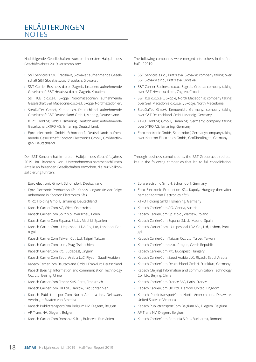### ERLÄUTERUNGEN NOTES

Nachfolgende Gesellschaften wurden im ersten Halbjahr des Geschäftsjahres 2019 verschmolzen:

- › S&T Services s.r.o., Bratislava, Slowakei: aufnehmende Gesellschaft S&T Slovakia s.r.o., Bratislava, Slowakei.
- › S&T Carrier Business d.o.o., Zagreb, Kroatien: aufnehmende Gesellschaft S&T Hrvatska d.o.o., Zagreb, Kroatien.
- › S&T ICB d.o.o.e.l., Skopje, Nordmazedonien: aufnehmende Gesellschaft S&T Macedonia d.o.o.e.l., Skopje, Nordmazedonien.
- › SteuDaTec GmbH, Kempenich, Deutschland: aufnehmende Gesellschaft S&T Deutschland GmbH, Mendig, Deutschland.
- › XTRO Holding GmbH, Ismaning, Deutschland: aufnehmende Gesellschaft XTRO AG, Ismaning, Deutschland.
- › Epro electronic GmbH, Schorndorf, Deutschland: aufnehmende Gesellschaft Kontron Electronics GmbH, Großbettlingen, Deutschland.

Der S&T Konzern hat im ersten Halbjahr des Geschäftsjahres 2019 im Rahmen von Unternehmenszusammenschlüssen Anteile an folgenden Gesellschaften erworben, die zur Vollkonsolidierung führten:

- › Epro electronic GmbH, Schorndorf, Deutschland
- › Epro Electronic Production Kft., Kapoly, Ungarn (in der Folge unbenannt in Kontron Electronics Kft.)
- › XTRO Holding GmbH, Ismaning, Deutschland
- › Kapsch CarrierCom AG, Wien, Österreich
- › Kapsch CarrierCom Sp. z o.o., Warschau, Polen
- › Kapsch CarrierCom Espana, S.L.U., Madrid, Spanien
- › Kapsch CarrierCom Unipessoal LDA Co., Ltd, Lissabon, Portugal
- › Kapsch CarrierCom Taiwan Co., Ltd, Taipei, Taiwan
- › Kapsch CarrierCom s.r.o., Prag, Tschechien
- › Kapsch CarrierCom Kft., Budapest, Ungarn
- › Kapsch CarrierCom Saudi Arabia LLC, Riyadh, Saudi-Arabien
- › Kapsch CarrierCom Deutschland GmbH, Frankfurt, Deutschland
- › Kapsch (Beijing) Information and communication Technology Co., Ltd, Beijing, China
- › Kapsch CarrierCom France SAS, Paris, Frankreich
- › Kapsch CarrierCom UK Ltd., Harrow, Großbritannien
- › Kapsch PublictransportCom North America Inc., Delaware, Vereinigte Staaten von Amerika
- › Kapsch PublictransportCom Belgium NV, Diegem, Belgien
- › AP Trans NV, Diegem, Belgien
- › Kapsch CarrierCom Romania S.R.L., Bukarest, Rumänien

The following companies were merged into others in the first half of 2019:

- › S&T Services s.r.o., Bratislava, Slovakia: company taking over S&T Slovakia s.r.o., Bratislava, Slovakia.
- › S&T Carrier Business d.o.o., Zagreb, Croatia: company taking over S&T Hrvatska d.o.o., Zagreb, Croatia.
- › S&T ICB d.o.o.e.l., Skopje, North Macedonia: company taking over S&T Macedonia d.o.o.e.l., Skopje, North Macedonia.
- › SteuDaTec GmbH, Kempenich, Germany: company taking over S&T Deutschland GmbH, Mendig, Germany.
- › XTRO Holding GmbH, Ismaning, Germany: company taking over XTRO AG, Ismaning, Germany.
- › Epro electronic GmbH, Schorndorf, Germany: company taking over Kontron Electronics GmbH, Großbettlingen, Germany.

Through business combinations, the S&T Group acquired stakes in the following companies that led to full consolidation:

- › Epro electronic GmbH, Schorndorf, Germany
- › Epro Electronic Production Kft., Kapoly, Hungary (hereafter named "Kontron Electronics Kft.")
- › XTRO Holding GmbH, Ismaning, Germany
- › Kapsch CarrierCom AG, Vienna, Austria
- › Kapsch CarrierCom Sp. z o.o., Warsaw, Poland
- › Kapsch CarrierCom Espana, S.L.U., Madrid, Spain
- › Kapsch CarrierCom Unipessoal LDA Co., Ltd, Lisbon, Portugal
- › Kapsch CarrierCom Taiwan Co., Ltd, Taipei, Taiwan
- › Kapsch CarrierCom s.r.o., Prague, Czech Republic
- › Kapsch CarrierCom Kft., Budapest, Hungary
- › Kapsch CarrierCom Saudi Arabia LLC, Riyadh, Saudi Arabia
- › Kapsch CarrierCom Deutschland GmbH, Frankfurt, Germany
- › Kapsch (Beijing) Information and communication Technology Co., Ltd, Beijing, China
- › Kapsch CarrierCom France SAS, Paris, France
- › Kapsch CarrierCom UK Ltd., Harrow, United Kingdom
- › Kapsch PublictransportCom North America Inc., Delaware, United States of America
- › Kapsch PublictransportCom Belgium NV, Diegem, Belgium
- › AP Trans NV, Diegem, Belgium
- › Kapsch CarrierCom Romania S.R.L., Bucharest, Romania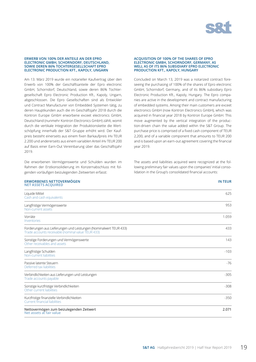

**IN TEUR**

#### **ERWERB VON 100% DER ANTEILE AN DER EPRO ELECTRONIC GMBH, SCHORNDORF, DEUTSCHLAND, SOWIE DEREN 86% TOCHTERGESELLSCHAFT EPRO ELECTRONIC PRODUCTION KFT., KAPOLY, UNGARN**

Am 13. März 2019 wurde ein notarieller Kaufvertrag über den Erwerb von 100% der Geschäftsanteile der Epro electronic GmbH, Schorndorf, Deutschland, sowie deren 86% Tochtergesellschaft Epro Electronic Production Kft., Kapoly, Ungarn, abgeschlossen. Die Epro Gesellschaften sind als Entwickler und Contract Manufacturer von Embedded Systemen tätig, zu deren Hauptkunden auch die im Geschäftsjahr 2018 durch die Kontron Europe GmbH erworbene exceet electronics GmbH, Deutschland (nunmehr Kontron Electronics GmbH) zählt, womit durch die vertikale Integration der Produktionskette die Wertschöpfung innerhalb der S&T Gruppe erhöht wird. Der Kaufpreis besteht einerseits aus einem fixen Barkaufpreis iHv TEUR 2.200 und andererseits aus einem variablen Anteil iHv TEUR 200 auf Basis einer Earn-Out Vereinbarung über das Geschäftsjahr 2019.

Die erworbenen Vermögenswerte und Schulden wurden im Rahmen der Erstkonsolidierung im Konzernabschluss mit folgenden vorläufigen beizulegenden Zeitwerten erfasst:

#### **ERWORBENES NETTOVERMÖGEN NET ASSETS ACQUIRED**

#### **ACQUISITION OF 100% OF THE SHARES OF EPRO ELECTRONIC GMBH, SCHORNDORF, GERMANY, AS WELL AS OF ITS 86% SUBSIDIARY EPRO ELECTRONIC PRODUCTION KFT., KAPOLY, HUNGARY**

Concluded on March 13, 2019 was a notarized contract foreseeing the purchasing of 100% of the shares of Epro electronic GmbH, Schorndorf, Germany, and of its 86% subsidiary Epro Electronic Production Kft., Kapoly, Hungary. The Epro companies are active in the development and contract manufacturing of embedded systems. Among their main customers are exceet electronics GmbH (now Kontron Electronics GmbH), which was acquired in financial year 2018 by Kontron Europe GmbH. This move augmented by the vertical integration of the production-driven chain the value added within the S&T Group. The purchase price is comprised of a fixed cash component of TEUR 2,200, and of a variable component that amounts to TEUR 200 and is based upon an earn-out agreement covering the financial year 2019.

The assets and liabilities acquired were recognized at the following preliminary fair values upon the companies' initial consolidation in the Group's consolidated financial accounts:

| Liquide Mittel<br>Cash and cash equivalents                                                                             | 625    |
|-------------------------------------------------------------------------------------------------------------------------|--------|
| Langfristige Vermögenswerte<br>Non-current assets                                                                       | 953    |
| Vorräte<br>Inventories                                                                                                  | 1.059  |
| Forderungen aus Lieferungen und Leistungen (Nominalwert TEUR 433)<br>Trade accounts receivable (nominal value TEUR 433) | 433    |
| Sonstige Forderungen und Vermögenswerte<br>Other receivables and assets                                                 | 143    |
| Langfristige Schulden<br>Non-current liabilities                                                                        | $-103$ |
| Passive latente Steuern<br>Deferred tax liabilities                                                                     | $-76$  |
| Verbindlichkeiten aus Lieferungen und Leistungen<br>Trade accounts payable                                              | $-305$ |
| Sonstige kurzfristige Verbindlichkeiten<br>Other current liabilities                                                    | $-308$ |
| Kurzfristige finanzielle Verbindlichkeiten<br><b>Current financial liabilities</b>                                      | $-350$ |
| Nettovermögen zum beizulegenden Zeitwert<br>Net assets at fair value                                                    | 2.071  |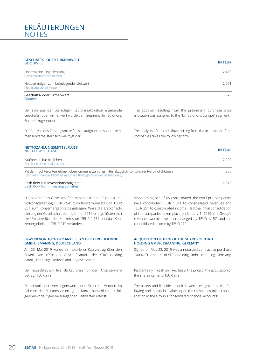### ERLÄUTERUNGEN **NOTES**

#### **GESCHÄFTS- ODER FIRMENWERT GOODWILL IN TEUR**

| Übertragene Gegenleistung<br>Consideration transferred               | 2.400   |
|----------------------------------------------------------------------|---------|
| Nettovermögen zum beizulegenden Zeitwert<br>Net assets at fair value | $-2071$ |
| Geschäfts- oder Firmenwert<br>$\sim$ $\sim$ $\sim$ $\sim$ $\sim$     | 329     |

Goodwill

Der sich aus der vorläufigen Kaufpreisallokation ergebende Geschäfts- oder Firmenwert wurde dem Segment "IoT Solutions Europe" zugeordnet.

Die Analyse des Zahlungsmittelflusses aufgrund des Unternehmenserwerbs stellt sich wie folgt dar:

### **NETTOZAHLUNGSMITTELFLUSS**

The goodwill resulting from the preliminary purchase price allocation was assigned to the "IoT Solutions Europe" segment.

The analysis of the cash flows arising from the acquisition of the companies takes the following form:

|  | ۰, |  |
|--|----|--|

| <b>NET FLOW OF CASH</b>                                                                                                                                                 | <b>IN TEUR</b> |
|-------------------------------------------------------------------------------------------------------------------------------------------------------------------------|----------------|
| Kaufpreis in bar beglichen<br>Purchase price paid in cash                                                                                                               | $-2.200$       |
| Mit dem Tochterunternehmen übernommene Zahlungsmittel abzüglich Kontokorrentverbindlichkeiten<br>Cash less financial liabilities assumed through takeover of subsidiary | 275            |
| Cash flow aus Investitionstätigkeit<br>Cash flow from investing activities                                                                                              | $-1.925$       |

Die beiden Epro Gesellschaften haben seit dem Zeitpunkt der Vollkonsolidierung TEUR 1.541 zum Konzernumsatz und TEUR 351 zum Konzernergebnis beigetragen. Wäre die Erstkonsolidierung der Gesellschaft zum 1. Jänner 2019 erfolgt, hätten sich die Umsatzerlöse des Konzerns um TEUR 1.157 und das Konzernergebnis um TEUR 210 verändert.

#### **ERWERB VON 100% DER ANTEILE AN DER XTRO HOLDING GMBH, ISMANING, DEUTSCHLAND**

Am 23. Mai 2019 wurde ein notarieller Kaufvertrag über den Erwerb von 100% der Geschäftsanteile der XTRO Holding GmbH, Ismaning, Deutschland, abgeschlossen.

Der ausschließlich fixe Barkaufpreis für den Anteilserwerb beträgt TEUR 979.

Die erworbenen Vermögenswerte und Schulden wurden im Rahmen der Erstkonsolidierung im Konzernabschluss mit folgenden vorläufigen beizulegenden Zeitwerten erfasst:

Since having been fully consolidated, the two Epro companies have contributed TEUR 1,541 to consolidated revenues and TEUR 351 to consolidated income. Had the initial consolidation of the companies taken place on January 1, 2019, the Group's revenues would have been changed by TEUR 1,157, and the consolidated income by TEUR 210.

#### **ACQUISITION OF 100% OF THE SHARES OF XTRO HOLDING GMBH, ISMANING, GERMANY**

Signed on May 23, 2019 was a notarized contract to purchase 100% of the shares of XTRO Holding GmbH, Ismaning, Germany.

Paid entirely in cash on fixed basis, the price of the acquisition of the shares came to TEUR 979.

The assets and liabilities acquired were recognized at the following preliminary fair values upon the companies' initial consolidation in the Group's consolidated financial accounts: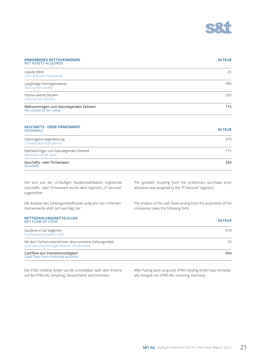

| <b>ERWORBENES NETTOVERMÖGEN</b><br><b>NET ASSETS ACQUIRED</b>        | <b>IN TEUR</b> |
|----------------------------------------------------------------------|----------------|
| Liquide Mittel<br>Cash and cash equivalents                          | 25             |
| Langfristige Vermögenswerte<br>Non-current assets                    | 983            |
| Passive latente Steuern<br>Deferred tax liabilities                  | $-293$         |
| Nettovermögen zum beizulegenden Zeitwert<br>Net assets at fair value | 715            |

#### **GESCHÄFTS- ODER FIRMENWERT GOODWILL IN TEUR**

| Übertragene Gegenleistung<br>Consideration transferred               | 979    |
|----------------------------------------------------------------------|--------|
| Nettovermögen zum beizulegenden Zeitwert<br>Net assets at fair value | $-715$ |
| Geschäfts- oder Firmenwert<br>Goodwill                               | 264    |

Der sich aus der vorläufigen Kaufpreisallokation ergebende Geschäfts- oder Firmenwert wurde dem Segment "IT Services" zugeordnet.

Die Analyse des Zahlungsmittelflusses aufgrund des Unternehmenserwerbs stellt sich wie folgt dar:

The goodwill resulting from the preliminary purchase price allocation was assigned to the "IT Services" segment.

The analysis of the cash flows arising from the acquisition of the companies takes the following form:

| <b>NETTOZAHLUNGSMITTELFLUSS</b><br><b>NET FLOW OF CASH</b>                                           | IN TEUR |
|------------------------------------------------------------------------------------------------------|---------|
| Kaufpreis in bar beglichen<br>Purchase price paid in cash                                            | $-979$  |
| Mit dem Tochterunternehmen übernommene Zahlungsmittel<br>Cash assumed through takeover of subsidiary | 25      |
| Cashflow aus Investitionstätigkeit<br>Cash flow from investing activities                            | -954    |

Die XTRO Holding GmbH wurde unmittelbar nach dem Erwerb auf die XTRO AG, Ismaning, Deutschland, verschmolzen.

After having been acquired, XTRO Holding GmbH was immediately merged into XTRO AG, Ismaning, Germany.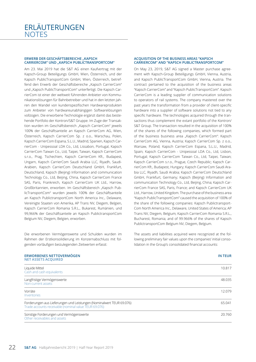#### **ERWERB DER GESCHÄFTSBEREICHE "KAPSCH CARRIERCOM" UND "KAPSCH PUBLICTRANSPORTCOM"**

Am 23. Mai 2019 hat die S&T AG einen Kaufvertrag mit der Kapsch-Group Beteiligungs GmbH, Wien, Österreich, und der Kapsch PublicTransportCom GmbH, Wien, Österreich, betreffend den Erwerb der Geschäftsbereiche "Kapsch CarrierCom" und "Kapsch PublicTransportCom" unterfertigt. Die Kapsch CarrierCom ist einer der weltweit führenden Anbieter von Kommunikationslösungen für Bahnbetreiber und hat in den letzten Jahren den Wandel von kundenspezifischen Hardwareprodukten zum Anbieter von hardwareunabhängigen Softwarelösungen vollzogen. Die erworbene Technologie ergänzt damit das bestehende Portfolio der Kontron/S&T Gruppe. Im Zuge der Transaktion wurden im Geschäftsbereich "Kapsch CarrierCom" jeweils 100% der Geschäftsanteile an Kapsch CarrierCom AG, Wien, Österreich, Kapsch CarrierCom Sp. z o.o., Warschau, Polen, Kapsch CarrierCom Espana, S.L.U., Madrid, Spanien, Kapsch CarrierCom - Unipessoal LDA Co., Ltd, Lissabon, Portugal, Kapsch CarrierCom Taiwan Co., Ltd, Taipei, Taiwan, Kapsch CarrierCom s.r.o., Prag, Tschechien, Kapsch CarrierCom Kft., Budapest, Ungarn, Kapsch CarrierCom Saudi Arabia LLC, Riyadh, Saudi-Arabien, Kapsch CarrierCom Deutschland GmbH, Frankfurt, Deutschland, Kapsch (Beijing) Information and communication Technology Co., Ltd, Beijing, China, Kapsch CarrierCom France SAS, Paris, Frankreich, Kapsch CarrierCom UK Ltd., Harrow, Großbritannien, erworben. Im Geschäftsbereich "Kapsch PublicTransportCom" wurden jeweils 100% der Geschäftsanteile an Kapsch PublictransportCom North America Inc., Delaware, Vereinigte Staaten von Amerika, AP Trans NV, Diegem, Belgien, Kapsch CarrierCom Romania S.R.L., Bukarest, Rumänien, und 99,966% der Geschäftsanteile an Kapsch PublictransportCom Belgium NV, Diegem, Belgien, erworben.

Die erworbenen Vermögenswerte und Schulden wurden im Rahmen der Erstkonsolidierung im Konzernabschluss mit folgenden vorläufigen beizulegenden Zeitwerten erfasst:

#### **ERWORBENES NETTOVERMÖGEN NET ASSETS ACQUIRED**

#### **ACQUISITION OF THE BUSINESS AREAS "KAPSCH CARRIERCOM" AND "KAPSCH PUBLICTRANSPORTCOM"**

On May 23, 2019, S&T AG signed a Master purchase agreement with Kapsch-Group Beteiligungs GmbH, Vienna, Austria, and Kapsch PublicTransportCom GmbH, Vienna, Austria. The contract pertained to the acquisition of the business areas "Kapsch CarrierCom" and "Kapsch PublicTransportCom". Kapsch CarrierCom is a leading supplier of communication solutions to operators of rail systems. The company mastered over the past years the transformation from a provider of client-specific hardware into a supplier of software solutions not tied to any specific hardware. The technologies acquired through the transactions thus complement the extant portfolio of the Kontron/ S&T Group. The transaction resulted in the acquisition of 100% of the shares of the following companies, which formed part of the business business area "Kapsch CarrierCom": Kapsch CarrierCom AG, Vienna, Austria; Kapsch CarrierCom Sp. z o.o., Warsaw, Poland; Kapsch CarrierCom Espana, S.L.U., Madrid, Spain; Kapsch CarrierCom - Unipessoal LDA Co., Ltd, Lisbon, Portugal; Kapsch CarrierCom Taiwan Co., Ltd, Taipei, Taiwan; Kapsch CarrierCom s.r.o., Prague, Czech Republic; Kapsch CarrierCom Kft., Budapest, Hungary; Kapsch CarrierCom Saudi Arabia LLC, Riyadh, Saudi Arabia; Kapsch CarrierCom Deutschland GmbH, Frankfurt, Germany; Kapsch (Beijing) Information and communication Technology Co., Ltd, Beijing, China; Kapsch CarrierCom France SAS, Paris, France; and Kapsch CarrierCom UK Ltd., Harrow, United Kingdom. The purchase of the business area "Kapsch PublicTransportCom" caused the acquisition of 100% of the share of the following companies: Kapsch Publictransport-Com North America Inc., Delaware, United States of America; AP Trans NV, Diegem, Belgium; Kapsch CarrierCom Romania S.R.L., Bucharest, Romania; and of 99.966% of the shares of Kapsch PublictransportCom Belgium NV, Diegem, Belgium.

The assets and liabilities acquired were recognized at the following preliminary fair values upon the companies' initial consolidation in the Group's consolidated financial accounts:

| <b>NET ASSETS ACQUIRED</b>                                                                                                    |        |
|-------------------------------------------------------------------------------------------------------------------------------|--------|
| Liquide Mittel<br>Cash and cash equivalents                                                                                   | 10.817 |
| Langfristige Vermögenswerte<br>Non-current assets                                                                             | 48.035 |
| Vorräte<br>Inventories                                                                                                        | 12.079 |
| Forderungen aus Lieferungen und Leistungen (Nominalwert TEUR 69.076)<br>Trade accounts receivable (nominal value TEUR 69.076) | 65.041 |
| Sonstige Forderungen und Vermögenswerte<br>Other receivables and assets                                                       | 20.760 |

**IN TEUR**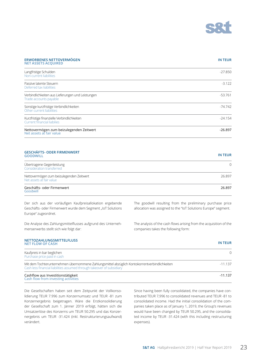

#### **ERWORBENES NETTOVERMÖGEN NET ASSETS ACQUIRED**

### **IN TEUR**

| Langfristige Schulden<br>Non-current liabilities                                 | $-27.850$ |
|----------------------------------------------------------------------------------|-----------|
| Passive latente Steuern<br>Deferred tax liabilities                              | $-3.122$  |
| Verbindlichkeiten aus Lieferungen und Leistungen<br>Trade accounts payable       | $-53.761$ |
| Sonstige kurzfristige Verbindlichkeiten<br>Other current liabilities             | -74.742   |
| Kurzfristige finanzielle Verbindlichkeiten<br><b>Current financial liabilies</b> | $-24.154$ |
| Nettovermögen zum beizulegenden Zeitwert<br>Net assets at fair value             | $-26.897$ |

#### **GESCHÄFTS- ODER FIRMENWERT GOODWILL IN TEUR**

| Übertragene Gegenleistung<br>Consideration transferred               | ∩      |
|----------------------------------------------------------------------|--------|
| Nettovermögen zum beizulegenden Zeitwert<br>Net assets at fair value | 26.897 |
| Geschäfts- oder Firmenwert<br>Goodwill                               | 26.897 |

Der sich aus der vorläufigen Kaufpreisallokation ergebende Geschäfts- oder Firmenwert wurde dem Segment "IoT Solutions Europe" zugeordnet.

Die Analyse des Zahlungsmittelflusses aufgrund des Unternehmenserwerbs stellt sich wie folgt dar:

The goodwill resulting from the preliminary purchase price allocation was assigned to the "IoT Solutions Europe" segment.

The analysis of the cash flows arising from the acquisition of the companies takes the following form:

### **NETTOZAHLUNGSMITTELFLUSS**

| <b>NET FLOW OF CASH</b>                                                                                                                                                 | <b>IN TEUR</b> |
|-------------------------------------------------------------------------------------------------------------------------------------------------------------------------|----------------|
| Kaufpreis in bar beglichen<br>Purchase price paid in cash                                                                                                               | $\Omega$       |
| Mit dem Tochterunternehmen übernommene Zahlungsmittel abzüglich Kontokorrentverbindlichkeiten<br>Cash less financial liabilities assumed through takeover of subsidiary | -11 137        |
| Cashflow aus Investitionstätigkeit<br>Cash flow from investing activities                                                                                               | $-11.137$      |

Die Gesellschaften haben seit dem Zeitpunkt der Vollkonsolidierung TEUR 7.996 zum Konzernumsatz und TEUR -81 zum Konzernergebnis beigetragen. Wäre die Erstkonsolidierung der Gesellschaft zum 1. Jänner 2019 erfolgt, hätten sich die Umsatzerlöse des Konzerns um TEUR 50.295 und das Konzernergebnis um TEUR -31.424 (inkl. Restrukturierungsaufwand) verändert.

Since having been fully consolidated, the companies have contributed TEUR 7,996 to consolidated revenues and TEUR -81 to consolidated income. Had the initial consolidation of the companies taken place as of January 1, 2019, the Group's revenues would have been changed by TEUR 50.295, and the consolidated income by TEUR -31.424 (with this including restructuring expenses).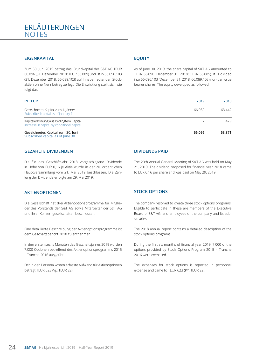#### **EIGENKAPITAL**

Zum 30. Juni 2019 betrug das Grundkapital der S&T AG TEUR 66.096 (31. Dezember 2018: TEUR 66.089) und ist in 66.096.103 (31. Dezember 2018: 66.089.103) auf Inhaber lautenden Stückaktien ohne Nennbetrag zerlegt. Die Entwicklung stellt sich wie folgt dar:

#### **EQUITY**

As of June 30, 2019, the share capital of S&T AG amounted to TEUR 66,096 (December 31, 2018: TEUR 66,089). It is divided into 66,096,103 (December 31, 2018: 66,089,103) non-par value bearer shares. The equity developed as followed:

| <b>IN TEUR</b>                                                                      | 2019   | 2018   |
|-------------------------------------------------------------------------------------|--------|--------|
| Gezeichnetes Kapital zum 1. Jänner<br>Subscribed capital as of January 1            | 66.089 | 63442  |
| Kapitalerhöhung aus bedingtem Kapital<br>Increase in capital by conditional capital |        | 429    |
| Gezeichnetes Kapital zum 30. Juni<br>Subscribed capital as of June 30               | 66.096 | 63.871 |

#### **GEZAHLTE DIVIDENDEN**

Die für das Geschäftsjahr 2018 vorgeschlagene Dividende in Höhe von EUR 0,16 je Aktie wurde in der 20. ordentlichen Hauptversammlung vom 21. Mai 2019 beschlossen. Die Zahlung der Dividende erfolgte am 29. Mai 2019.

#### **AKTIENOPTIONEN**

Die Gesellschaft hat drei Aktienoptionsprogramme für Mitglieder des Vorstands der S&T AG sowie Mitarbeiter der S&T AG und ihrer Konzerngesellschaften beschlossen.

Eine detaillierte Beschreibung der Aktienoptionsprogramme ist dem Geschäftsbericht 2018 zu entnehmen.

In den ersten sechs Monaten des Geschäftsjahres 2019 wurden 7.000 Optionen betreffend des Aktienoptionsprogramms 2015 – Tranche 2016 ausgeübt.

Der in den Personalkosten erfasste Aufwand für Aktienoptionen beträgt TEUR 623 (Vj.: TEUR 22).

#### **DIVIDENDS PAID**

The 20th Annual General Meeting of S&T AG was held on May 21, 2019. The dividend proposed for financial year 2018 came to EUR 0.16 per share and was paid on May 29, 2019.

#### **STOCK OPTIONS**

The company resolved to create three stock options programs. Eligible to participate in these are members of the Executive Board of S&T AG, and employees of the company and its subsidiaries.

The 2018 annual report contains a detailed description of the stock options programs.

During the first six months of financial year 2019, 7,000 of the options provided by Stock Options Program 2015 – Tranche 2016 were exercised.

The expenses for stock options is reported in personnel expense and came to TEUR 623 (PY: TEUR 22).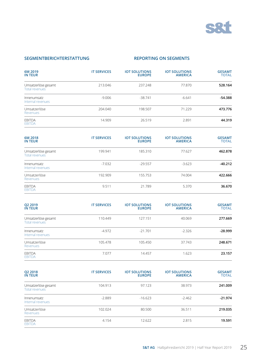

#### **SEGMENTBERICHTERSTATTUNG**

#### **REPORTING ON SEGMENTS**

| 6M 2019<br><b>IN TEUR</b>             | <b>IT SERVICES</b> | <b>IOT SOLUTIONS</b><br><b>EUROPE</b> | <b>IOT SOLUTIONS</b><br><b>AMERICA</b> | <b>GESAMT</b><br><b>TOTAL</b> |
|---------------------------------------|--------------------|---------------------------------------|----------------------------------------|-------------------------------|
| Umsatzerlöse gesamt<br>Total revenues | 213.046            | 237.248                               | 77.870                                 | 528.164                       |
| Innenumsatz<br>Internal revenues      | $-9.006$           | $-38.741$                             | $-6.641$                               | $-54.388$                     |
| Umsatzerlöse<br><b>Revenues</b>       | 204.040            | 198.507                               | 71.229                                 | 473.776                       |
| <b>FBITDA</b><br><b>EBITDA</b>        | 14.909             | 26.519                                | 2.891                                  | 44.319                        |

| 6M 2018<br><b>IN TEUR</b>             | <b>IT SERVICES</b> | <b>IOT SOLUTIONS</b><br><b>EUROPE</b> | <b>IOT SOLUTIONS</b><br><b>AMERICA</b> | <b>GESAMT</b><br><b>TOTAL</b> |
|---------------------------------------|--------------------|---------------------------------------|----------------------------------------|-------------------------------|
| Umsatzerlöse gesamt<br>Total revenues | 199.941            | 185.310                               | 77.627                                 | 462.878                       |
| Innenumsatz<br>Internal revenues      | $-7.032$           | $-29.557$                             | $-3.623$                               | $-40.212$                     |
| Umsatzerlöse<br>Revenues              | 192.909            | 155.753                               | 74.004                                 | 422.666                       |
| EBITDA<br><b>EBITDA</b>               | 9.511              | 21.789                                | 5.370                                  | 36.670                        |

| Q2 2019<br><b>IN TEUR</b>                    | <b>IT SERVICES</b> | <b>IOT SOLUTIONS</b><br><b>EUROPE</b> | <b>IOT SOLUTIONS</b><br><b>AMERICA</b> | <b>GESAMT</b><br><b>TOTAL</b> |
|----------------------------------------------|--------------------|---------------------------------------|----------------------------------------|-------------------------------|
| Umsatzerlöse gesamt<br><b>Total revenues</b> | 110.449            | 127.151                               | 40.069                                 | 277.669                       |
| Innenumsatz<br>Internal revenues             | $-4.972$           | $-21.701$                             | $-2.326$                               | $-28.999$                     |
| Umsatzerlöse<br>Revenues                     | 105.478            | 105.450                               | 37.743                                 | 248.671                       |
| <b>FBITDA</b><br><b>EBITDA</b>               | 7.077              | 14.457                                | 1.623                                  | 23.157                        |

| Q2 2018<br><b>IN TEUR</b>                    | <b>IT SERVICES</b> | <b>IOT SOLUTIONS</b><br><b>EUROPE</b> | <b>IOT SOLUTIONS</b><br><b>AMERICA</b> | <b>GESAMT</b><br><b>TOTAL</b> |
|----------------------------------------------|--------------------|---------------------------------------|----------------------------------------|-------------------------------|
| Umsatzerlöse gesamt<br><b>Total revenues</b> | 104.913            | 97.123                                | 38.973                                 | 241.009                       |
| Innenumsatz<br>Internal revenues             | $-2.889$           | $-16.623$                             | $-2.462$                               | $-21.974$                     |
| Umsatzerlöse<br>Revenues                     | 102.024            | 80.500                                | 36.511                                 | 219.035                       |
| <b>FBITDA</b><br><b>EBITDA</b>               | 4.154              | 12.622                                | 2.815                                  | 19.591                        |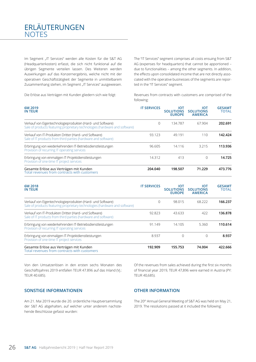### ERLÄUTERUNGEN **NOTES**

Im Segment "IT Services" werden alle Kosten für die S&T AG (Headquarterkosten) erfasst, die sich nicht funktional auf die übrigen Segmente verteilen lassen. Des Weiteren werden Auswirkungen auf das Konzernergebnis, welche nicht mit der operativen Geschäftstätigkeit der Segmente in unmittelbarem Zusammenhang stehen, im Segment "IT Services" ausgewiesen.

Die Erlöse aus Verträgen mit Kunden gliedern sich wie folgt:

The "IT Services" segment comprises all costs ensuing from S&T AG (expenses for headquarters) that cannot be apportioned – due to functionalities – among the other segments. In addition, the effects upon consolidated income that are not directly associated with the operative businesses of the segments are reported in the "IT Services" segment.

Revenues from contracts with customers are comprised of the following:

| 6M 2019<br><b>IN TEUR</b>                                                                                                                 | <b>IT SERVICES</b> | ιοτ<br><b>SOLUTIONS</b><br><b>EUROPE</b> | ιοτ<br><b>SOLUTIONS</b><br><b>AMERICA</b> | <b>GESAMT</b><br><b>TOTAL</b> |
|-------------------------------------------------------------------------------------------------------------------------------------------|--------------------|------------------------------------------|-------------------------------------------|-------------------------------|
| Verkauf von Eigentechnologieprodukten (Hard- und Software)<br>Sale of products featuring proprietary technologies (hardware and software) | 0                  | 134.787                                  | 67.904                                    | 202.691                       |
| Verkauf von IT-Produkten Dritter (Hard- und Software)<br>Sale of IT products from third parties (hardware and software)                   | 93.123             | 49.191                                   | 110                                       | 142.424                       |
| Erbringung von wiederkehrenden IT-Betriebsdienstleistungen<br>Provision of recurring IT operating services                                | 96.605             | 14.116                                   | 3.215                                     | 113.936                       |
| Erbringung von einmaligen IT-Projektdienstleistungen<br>Provision of one-time IT project services                                         | 14.312             | 413                                      | $\Omega$                                  | 14.725                        |
| Gesamte Erlöse aus Verträgen mit Kunden<br>Total revenues from contracts with customers                                                   | 204.040            | 198.507                                  | 71.229                                    | 473.776                       |

| 6M 2018<br><b>IN TEUR</b>                                                                                                                 | <b>IT SERVICES</b> | ιοτ<br><b>SOLUTIONS</b><br><b>EUROPE</b> | ιοτ<br><b>SOLUTIONS</b><br><b>AMERICA</b> | <b>GESAMT</b><br><b>TOTAL</b> |
|-------------------------------------------------------------------------------------------------------------------------------------------|--------------------|------------------------------------------|-------------------------------------------|-------------------------------|
| Verkauf von Eigentechnologieprodukten (Hard- und Software)<br>Sale of products featuring proprietary technologies (hardware and software) | $\Omega$           | 98.015                                   | 68.222                                    | 166.237                       |
| Verkauf von IT-Produkten Dritter (Hard- und Software)<br>Sale of IT products from third parties (hardware and software)                   | 92.823             | 43.633                                   | 422                                       | 136.878                       |
| Erbringung von wiederkehrenden IT-Betriebsdienstleistungen<br>Provision of recurring IT operating services                                | 91.149             | 14.105                                   | 5.360                                     | 110.614                       |
| Erbringung von einmaligen IT-Projektdienstleistungen<br>Provision of one-time IT project services                                         | 8.937              | Ω                                        | 0                                         | 8.937                         |
| Gesamte Erlöse aus Verträgen mit Kunden<br>Total revenues from contracts with customers                                                   | 192.909            | 155.753                                  | 74.004                                    | 422.666                       |

Von den Umsatzerlösen in den ersten sechs Monaten des Geschäftsjahres 2019 entfallen TEUR 47.896 auf das Inland (Vj.: TEUR 40.685).

Of the revenues from sales achieved during the first six months of financial year 2019, TEUR 47,896 were earned in Austria (PY: TEUR 40,685).

#### **SONSTIGE INFORMATIONEN**

Am 21. Mai 2019 wurde die 20. ordentliche Hauptversammlung der S&T AG abgehalten, auf welcher unter anderem nachstehende Beschlüsse gefasst wurden:

#### **OTHER INFORMATION**

The 20<sup>th</sup> Annual General Meeting of S&T AG was held on May 21, 2019. The resolutions passed at it included the following: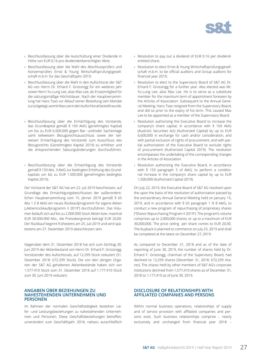

- › Beschlussfassung über die Ausschüttung einer Dividende in Höhe von EUR 0,16 pro dividendenberechtigter Aktie;
- › Beschlussfassung über die Wahl des Abschlussprüfers und Konzernprüfers Ernst & Young Wirtschaftsprüfungsgesellschaft m.b.H. für das Geschäftsjahr 2019;
- › Beschlussfassung über die Wahl in den Aufsichtsrat der S&T AG von Herrn Dr. Erhard F. Grossnigg für ein weiteres Jahr sowie Herrn Yu-Lung Lee, alias Max Lee, als Ersatzmitglied für die satzungsmäßige Höchstdauer. Nach der Hauptversammlung hat Hans Tsao vor Ablauf seiner Bestellung sein Mandat zurückgelegt, womit Max Lee in den Aufsichtsrat bestellt wurde.
- › Beschlussfassung über die Ermächtigung des Vorstands, das Grundkapital gemäß § 169 AktG (genehmigtes Kapital) um bis zu EUR 6.600.000 gegen Bar- und/oder Sacheinlage samt teilweisem Bezugsrechtsausschluss sowie der teilweisen Ermächtigung des Vorstands zum Ausschluss des Bezugsrechts (Genehmigtes Kapital 2019) zu erhöhen und die entsprechenden Satzungsänderungen durchzuführen.
- › Beschlussfassung über die Ermächtigung des Vorstands gemäß § 159 Abs. 3 AktG zur bedingten Erhöhung des Grundkapitals um bis zu EUR 1.500.000 (genehmigtes bedingtes Kapital 2019).

Der Vorstand der S&T AG hat am 22. Juli 2019 beschlossen, auf Grundlage des Ermächtigungsbeschlusses der außerordentlichen Hauptversammlung vom 15. Jänner 2019 gemäß § 65 Abs 1 Z 8 AktG ein neues Rückkaufprogramm für eigene Aktien ("Aktienrückkaufprogramm II 2019") durchzuführen. Das Volumen beläuft sich auf bis zu 2.000.000 Stück Aktien bzw. maximal EUR 30.000.000 Mio., die Preisobergrenze beträgt EUR 20,00. Der Rückkauf beginnt frühestens am 25. Juli 2019 und wird spätestens am 27. Dezember 2019 abeschlossen sein.

Gegenüber dem 31. Dezember 2018 hat sich zum Stichtag 30. Juni 2019 der Aktienbestand von Herrn Dr. Erhard F. Grossnigg, Vorsitzender des Aufsichtsrats, auf 12.299 Stück reduziert (31. Dezember 2018: 672.299 Stück). Die von den übrigen Organen der S&T AG gehaltenen Aktienbestände haben sich von 1.577.410 Stück zum 31. Dezember 2018 auf 1.177.410 Stück zum 30. Juni 2019 reduziert.

#### **ANGABEN ÜBER BEZIEHUNGEN ZU NAHESTEHENDEN UNTERNEHMEN UND PERSONEN**

Im Rahmen der normalen Geschäftstätigkeit bestehen Liefer- und Leistungsbeziehungen zu nahestehenden Unternehmen und Personen. Diese Geschäftsbeziehungen betreffen, unverändert zum Geschäftsjahr 2018, nahezu ausschließlich

- › Resolution to pay out a dividend of EUR 0.16 per dividendentitled share;
- › Resolution to elect Ernst & Young Wirtschaftsprüfungsgesellschaft m.b.H. to be official auditors and Group auditors for financial year 2019;
- › Resolution to elect to the Supervisory Board of S&T AG Dr. Erhard F. Grossnigg for a further year. Also elected was Mr. Yu-Lung Lee, alias Max Lee. He is to serve as a substitute member for the maximum term of appointment foreseen by the Articles of Association. Subsequent to the Annual General Meeting, Hans Tsao resigned from the Supervisory Board, and did so prior to the expiry of his term. This caused Max Lee to be appointed as a member of the Supervisory Board.
- › Resolution authorizing the Executive Board to increase the company's share capital, in accordance with § 169 AktG (Austria's Securities Act) (Authorized Capital) by up to EUR 6,600,000 in exchange for cash and/or consideration, and with partial exclusion of rights of procurement, and with partial authorization of the Executive Board to exclude rights of procurement (Authorized Capital 2019). The resolution encompasses the undertaking of the corresponding changes in the Articles of Association.
- › Resolution authorizing the Executive Board, in accordance with § 159 paragraph 3 of AktG, to perform a conditional increase in the company's share capital by up to EUR 1,500,000 (Authorized Capital 2019).

On July 22, 2019, the Executive Board of S&T AG resolved upon the upon the basis of the resolution of authorization passed by the extraordinary Annual General Meeting held on January 15, 2019, and in accordance with § 65 paragraph 1 N 8 AktG, to conduct a new program of repurchasing of proprietary shares ("Shares Repurchasing Program II 2019"). The program's volume comprises up to 2,000,000 shares, or up to a maximum of EUR 30,000,000. The price ceiling per share comes to EUR 20.00. The buyback is planned to commence on July 25, 2019 and shall be completed at the latest on December 27, 2019.

As compared to December 31, 2018 and as of the date of reporting of June 30, 2019, the number of shares held by Dr. Erhard F. Grossnigg, chairman of the Supervisory Board, had declined to 12,299 shares (December 31, 2018: 672,299 shares). The shares held by other members of S&T AG's corporate institutions declined from 1,577,410 shares as of December 31, 2018 to 1,177,410 as of June 30, 2019.

#### **DISCLOSURE OF RELATIONSHIPS WITH AFFILIATED COMPANIES AND PERSONS**

Within normal business operations, relationships of supply and of service provision with affiliated companies and persons exist. Such business relationships comprise – nearly exclusively and unchanged from financial year 2018 –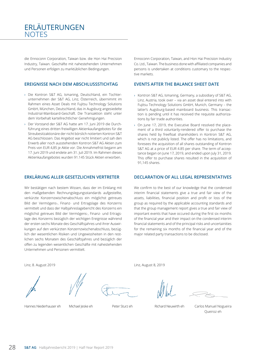### ERLÄUTERUNGEN **NOTES**

die Ennoconn Corporation, Taiwan bzw. die Hon Hai Precision Industry, Taiwan. Geschäfte mit nahestehenden Unternehmen und Personen erfolgen zu marktüblichen Bedingungen.

#### **EREIGNISSE NACH DEM ABSCHLUSSSTICHTAG**

- › Die Kontron S&T AG, Ismaning, Deutschland, ein Tochterunternehmen der S&T AG, Linz, Österreich, übernimmt im Rahmen eines Asset Deals mit Fujitsu Technology Solutions GmbH, München, Deutschland, das in Augsburg angesiedelte Industrial-Mainboard-Geschäft. Die Transaktion steht unter dem Vorbehalt kartellrechtlicher Genehmigungen.
- › Der Vorstand der S&T AG hatte am 17. Juni 2019 die Durchführung eines dritten freiwilligen Aktienkaufangebotes für die Streubesitzaktionäre der nicht börslich notierten Kontron S&T AG beschlossen. Das Angebot war nicht limitiert und sah den Erwerb aller noch ausstehenden Kontron S&T AG Aktien zum Preis von EUR 4,85 je Aktie vor. Die Annahmefrist begann am 17. Juni 2019 und endete am 31. Juli 2019. Im Rahmen dieses Aktienkaufangebotes wurden 91.145 Stück Aktien erworben.

#### **ERKLÄRUNG ALLER GESETZLICHEN VERTRETER**

Wir bestätigen nach bestem Wissen, dass der im Einklang mit den maßgebenden Rechnungslegungsstandards aufgestellte, verkürzte Konzernzwischenabschluss ein möglichst getreues Bild der Vermögens-, Finanz- und Ertragslage des Konzerns vermittelt und dass der Halbjahreslagebericht des Konzerns ein möglichst getreues Bild der Vermögens-, Finanz- und Ertragslage des Konzerns bezüglich der wichtigen Ereignisse während der ersten sechs Monate des Geschäftsjahres und ihrer Auswirkungen auf den verkürzten Konzernzwischenabschluss, bezüglich der wesentlichen Risiken und Ungewissheiten in den restlichen sechs Monaten des Geschäftsjahres und bezüglich der offen zu legenden wesentlichen Geschäfte mit nahestehenden Unternehmen und Personen vermittelt.

Ennoconn Corporation, Taiwan, and Hon Hai Precision Industry Co. Ltd., Taiwan. The business done with affiliated companies and persons is undertaken at conditions customary to the respective markets.

#### **EVENTS AFTER THE BALANCE SHEET DATE**

- › Kontron S&T AG, Ismaning, Germany, a subsidiary of S&T AG, Linz, Austria, took over – via an asset deal entered into with Fujitsu Technology Solutions GmbH, Munich, Germany – the latter's Augsburg-based mainboard business. This transaction is pending until it has received the requisite authorizations by fair trade authorities.
- › On June 17, 2019, the Executive Board resolved the placement of a third voluntarily-rendered offer to purchase the shares held by freefloat shareholders in Kontron S&T AG, which is not publicly listed. The offer has no limitations, and foresees the acquisition of all shares outstanding of Kontron S&T AG at a price of EUR 4.85 per share. The term of acceptance began on June 17, 2019, and ended upon July 31, 2019. This offer to purchase shares resulted in the acquisition of 91,145 shares.

#### **DECLARATION OF ALL LEGAL REPRESENTATIVES**

We confirm to the best of our knowledge that the condensed interim financial statements give a true and fair view of the assets, liabilities, financial position and profit or loss of the group as required by the applicable accounting standards and that the group management report gives a true and fair view of important events that have occured during the first six months of the financial year and their impact on the condensed interim financial statements and of the principal risks and uncertainities for the remaining six months of the financial year and of the major related party transactions to be disclosed.

Linz, 8. August 2019







Linz, August 8, 2019

Queiroz eh

Hannes Niederhauser eh Michael Jeske eh Peter Sturz eh Richard Neuwirth eh Carlos Manuel Nogueira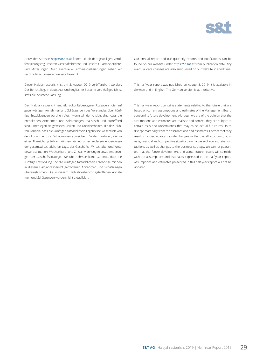

Unter der Adresse https://ir.snt.at finden Sie ab dem jeweiligen Veröffentlichungstag unseren Geschäftsbericht und unsere Quartalsberichteund Mitteilungen. Auch eventuelle Terminaktualisierungen geben wir rechtzeitig auf unserer Website bekannt.

Dieser Halbjahresbericht ist am 8. August 2019 veröffentlicht worden. Der Bericht liegt in deutscher und englischer Sprache vor. Maßgeblich ist stets die deutsche Fassung.

Der Halbjahresbericht enthält zukunftsbezogene Aussagen, die auf gegenwärtigen Annahmen und Schätzungen des Vorstandes über künftige Entwicklungen beruhen. Auch wenn wir der Ansicht sind, dass die enthaltenen Annahmen und Schätzungen realistisch und zutreffend sind, unterliegen sie gewissen Risiken und Unsicherheiten, die dazu führen können, dass die künftigen tatsächlichen Ergebnisse wesentlich von den Annahmen und Schätzungen abweichen. Zu den Faktoren, die zu einer Abweichung führen können, zählen unter anderem Änderungen der gesamtwirtschaftlichen Lage, der Geschäfts-, Wirtschafts- und Wettbewerbssituation, Wechselkurs- und Zinsschwankungen sowie Änderungen der Geschäftsstrategie. Wir übernehmen keine Garantie, dass die künftige Entwicklung und die künftigen tatsächlichen Ergebnisse mit den in diesem Halbjahresbericht getroffenen Annahmen und Schätzungen übereinstimmen. Die in diesem Halbjahresbericht getroffenen Annahmen und Schätzungen werden nicht aktualisiert.

Our annual report and our quarterly reports and notifications can be found on our website under https://ir.snt.at from publication date. Any eventual date changes are also announced on our website in good time.

This half-year report was published on August 8, 2019. It is available in German and in English. The German version is authoritative.

This half-year report contains statements relating to the future that are based on current assumptions and estimates of the Management Board concerning future development. Although we are of the opinion that the assumptions and estimates are realistic and correct, they are subject to certain risks and uncertainties that may cause actual future results to diverge materially from the assumptions and estimates. Factors that may result in a discrepancy include changes in the overall economic, business, financial and competitive situation, exchange and interest rate fluctuations as well as changes to the business strategy. We cannot guarantee that the future development and actual future results will coincide with the assumptions and estimates expressed in this half-year report. Assumptions and estimates presented in this half-year report will not be updated.